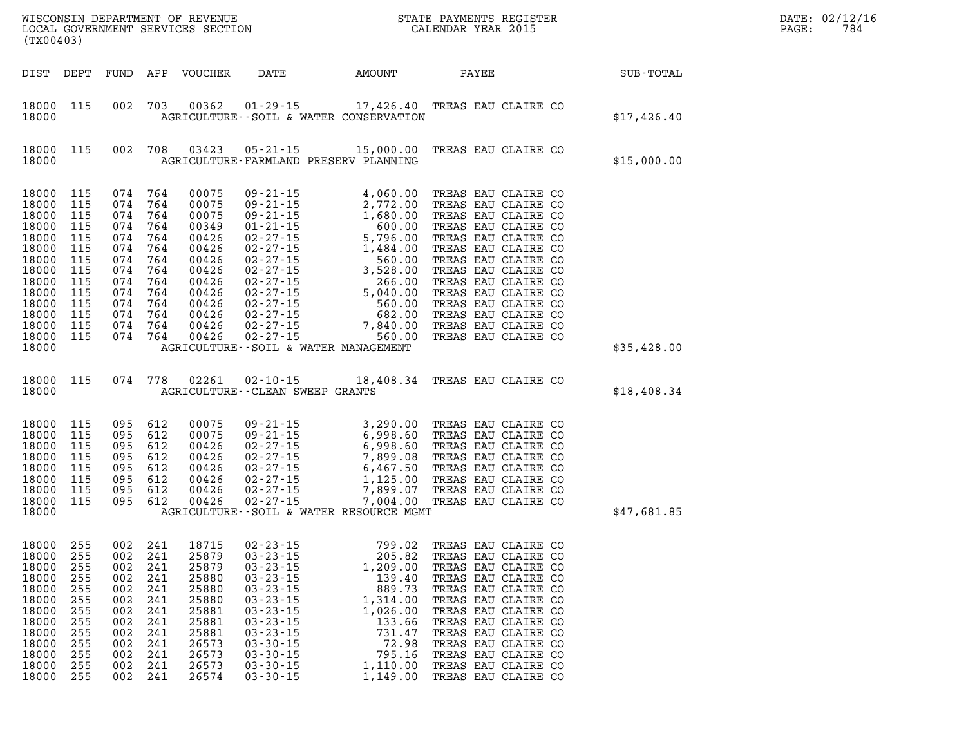|                                                                                                                                     | (TX00403)<br>DIST DEPT<br>FUND APP VOUCHER                                                     |                                                                                                                       |                                                                           |                                                                                                                            |                                                                                                                                                                                                                                        |                                                                                                                                                                                                                                                                                                                                                    |                                            |                                                                                                                                                                                                                                                                                                                                | DATE: 02/12/16<br>PAGE:<br>784 |  |  |
|-------------------------------------------------------------------------------------------------------------------------------------|------------------------------------------------------------------------------------------------|-----------------------------------------------------------------------------------------------------------------------|---------------------------------------------------------------------------|----------------------------------------------------------------------------------------------------------------------------|----------------------------------------------------------------------------------------------------------------------------------------------------------------------------------------------------------------------------------------|----------------------------------------------------------------------------------------------------------------------------------------------------------------------------------------------------------------------------------------------------------------------------------------------------------------------------------------------------|--------------------------------------------|--------------------------------------------------------------------------------------------------------------------------------------------------------------------------------------------------------------------------------------------------------------------------------------------------------------------------------|--------------------------------|--|--|
|                                                                                                                                     |                                                                                                |                                                                                                                       |                                                                           |                                                                                                                            | DATE                                                                                                                                                                                                                                   | <b>AMOUNT</b>                                                                                                                                                                                                                                                                                                                                      | <b>PAYEE</b>                               |                                                                                                                                                                                                                                                                                                                                | SUB-TOTAL                      |  |  |
| 18000<br>18000                                                                                                                      | 115                                                                                            |                                                                                                                       |                                                                           | 002 703 00362                                                                                                              |                                                                                                                                                                                                                                        | 01-29-15 17,426.40 TREAS EAU CLAIRE CO<br>AGRICULTURE -- SOIL & WATER CONSERVATION                                                                                                                                                                                                                                                                 |                                            |                                                                                                                                                                                                                                                                                                                                | \$17,426.40                    |  |  |
| 18000<br>18000                                                                                                                      | 115                                                                                            |                                                                                                                       | 002 708                                                                   | 03423                                                                                                                      | AGRICULTURE-FARMLAND PRESERV PLANNING                                                                                                                                                                                                  | $05 - 21 - 15$ 15,000.00                                                                                                                                                                                                                                                                                                                           |                                            | TREAS EAU CLAIRE CO                                                                                                                                                                                                                                                                                                            | \$15,000.00                    |  |  |
| 18000<br>18000<br>18000<br>18000<br>18000<br>18000<br>18000<br>18000<br>18000<br>18000<br>18000<br>18000<br>18000<br>18000<br>18000 | 115<br>115<br>115<br>115<br>115<br>115<br>115<br>115<br>115<br>115<br>115<br>115<br>115<br>115 | 074 764<br>074 764<br>074 764<br>074 764<br>074 764<br>074 764<br>074 764<br>074 764<br>074 764<br>074 764<br>074 764 | 074 764<br>074 764<br>074 764                                             | 00075<br>00075<br>00075<br>00349<br>00426<br>00426<br>00426<br>00426<br>00426<br>00426<br>00426<br>00426<br>00426<br>00426 | $09 - 21 - 15$<br>AGRICULTURE - - SOIL & WATER MANAGEMENT                                                                                                                                                                              | 4,060.00<br>$\begin{array}{cccc} 09\text{-}21\text{-}15 & 4,060.00 \\ 09\text{-}21\text{-}15 & 2,772.00 \\ 09\text{-}21\text{-}15 & 1,680.00 \\ 01\text{-}21\text{-}15 & 5,792.00 \\ 02\text{-}27\text{-}15 & 5,796.00 \\ 02\text{-}27\text{-}15 & 1,484.00 \\ 02\text{-}27\text{-}15 & 3,528.00 \\ 02\text{-}27\text{-}15 & 266.00 \\ 02\text{-}$ |                                            | TREAS EAU CLAIRE CO<br>TREAS EAU CLAIRE CO<br>TREAS EAU CLAIRE CO<br>TREAS EAU CLAIRE CO<br>TREAS EAU CLAIRE CO<br>TREAS EAU CLAIRE CO<br>TREAS EAU CLAIRE CO<br>TREAS EAU CLAIRE CO<br>TREAS EAU CLAIRE CO<br>TREAS EAU CLAIRE CO<br>TREAS EAU CLAIRE CO<br>TREAS EAU CLAIRE CO<br>TREAS EAU CLAIRE CO<br>TREAS EAU CLAIRE CO | \$35,428.00                    |  |  |
| 18000 115<br>18000                                                                                                                  |                                                                                                |                                                                                                                       |                                                                           | 074 778 02261                                                                                                              | AGRICULTURE--CLEAN SWEEP GRANTS                                                                                                                                                                                                        | 02-10-15 18,408.34 TREAS EAU CLAIRE CO                                                                                                                                                                                                                                                                                                             |                                            |                                                                                                                                                                                                                                                                                                                                | \$18,408.34                    |  |  |
| 18000<br>18000<br>18000<br>18000<br>18000<br>18000<br>18000<br>18000<br>18000                                                       | 115<br>115<br>115<br>115<br>115<br>115<br>115<br>115                                           | 095 612<br>095 612<br>095 612<br>095 612<br>095 612<br>095 612<br>095 612<br>095 612                                  |                                                                           | 00075<br>00075<br>00426<br>00426<br>00426<br>00426<br>00426<br>00426                                                       |                                                                                                                                                                                                                                        | 09-21-15 3,290.00 TREAS EAU CLAIRE CO<br>09-21-15 6,998.60 TREAS EAU CLAIRE CO<br>02-27-15 6,998.60 TREAS EAU CLAIRE CO<br>02-27-15 7,899.08 TREAS EAU CLAIRE CO<br>02-27-15 6,467.50 TREAS EAU CLAIRE CO<br>02-27-15 1,125.00 TREAS EAU CLAI<br>AGRICULTURE--SOIL & WATER RESOURCE MGMT                                                           |                                            |                                                                                                                                                                                                                                                                                                                                | \$47,681.85                    |  |  |
| 18000<br>18000<br>18000<br>18000<br>18000<br>18000<br>18000<br>18000<br>18000<br>18000<br>18000<br>18000<br>18000                   | 255<br>255<br>255<br>255<br>255<br>255<br>255<br>255<br>255<br>255<br>255<br>255<br>255        | 002 241<br>002 241<br>002<br>002<br>002<br>002<br>002<br>002<br>002<br>002<br>002<br>002<br>002                       | 241<br>241<br>241<br>241<br>241<br>241<br>241<br>241<br>241<br>241<br>241 | 18715<br>25879<br>25879<br>25880<br>25880<br>25880<br>25881<br>25881<br>25881<br>26573<br>26573<br>26573<br>26574          | $02 - 23 - 15$<br>$03 - 23 - 15$<br>$03 - 23 - 15$<br>$03 - 23 - 15$<br>$03 - 23 - 15$<br>$03 - 23 - 15$<br>$03 - 23 - 15$<br>$03 - 23 - 15$<br>$03 - 23 - 15$<br>$03 - 30 - 15$<br>$03 - 30 - 15$<br>$03 - 30 - 15$<br>$03 - 30 - 15$ | 799.02<br>205.82<br>1,209.00<br>139.40<br>889.73<br>1,314.00<br>1,026.00<br>133.66<br>731.47<br>72.98<br>795.16<br>1,110.00<br>1,149.00                                                                                                                                                                                                            | TREAS EAU CLAIRE CO<br>TREAS EAU CLAIRE CO | TREAS EAU CLAIRE CO<br>TREAS EAU CLAIRE CO<br>TREAS EAU CLAIRE CO<br>TREAS EAU CLAIRE CO<br>TREAS EAU CLAIRE CO<br>TREAS EAU CLAIRE CO<br>TREAS EAU CLAIRE CO<br>TREAS EAU CLAIRE CO<br>TREAS EAU CLAIRE CO<br>TREAS EAU CLAIRE CO<br>TREAS EAU CLAIRE CO                                                                      |                                |  |  |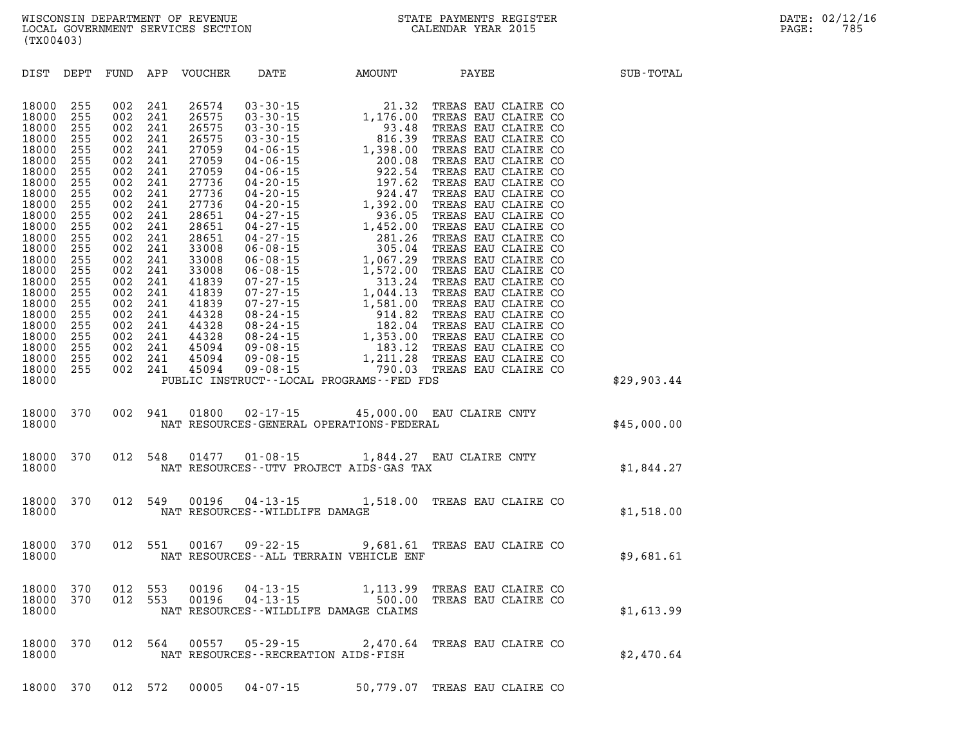| DIST<br>DEPT                                                                                                                                                                                                                           | FUND<br>APP |  | VOUCHER DATE AMOUNT PAYEE SUB-TOTAL                                                                                                                                                                                                 |             |
|----------------------------------------------------------------------------------------------------------------------------------------------------------------------------------------------------------------------------------------|-------------|--|-------------------------------------------------------------------------------------------------------------------------------------------------------------------------------------------------------------------------------------|-------------|
| 18000<br>18000<br>18000<br>18000<br>18000<br>18000<br>18000<br>18000<br>18000<br>18000<br>18000<br>18000<br>18000<br>18000<br>18000<br>18000<br>18000<br>18000<br>18000<br>18000<br>18000<br>18000<br>18000<br>18000<br>18000<br>18000 |             |  | 00 255 002 241 26574 03-30-15 1.39.00 TREAS EAU CLAIRE CO<br>00 255 002 241 26575 03-30-15 1,176.00 TREAS EAU CLAIRE CO<br>00 255 002 241 26575 03-30-15 3.48 TREAS EAU CLAIRE CO<br>00 255 002 241 27059 04-06-15 200.00 TREAS EAU | \$29,903.44 |
|                                                                                                                                                                                                                                        |             |  | $\begin{tabular}{lllllll} 18000&370&002&941&01800&02\cdot 17\cdot 15&45,000.00&\texttt{EAU CLAIRE CNTY} &\\ 18000&\texttt{NAT RESOURCES-GENERAL OPERATIONS-FEDERAL} & &\\ \end{tabular} \vspace{5mm}$                               |             |
| 18000<br>18000                                                                                                                                                                                                                         |             |  | $\begin{tabular}{lllllll} 370 & 012 & 548 & 01477 & 01\hbox{-}08\hbox{-}15 & 1,844.27 & \texttt{EAU CLAIRE CNTY} & \\ & \texttt{NAT RESOURCES}\hbox{-}\texttt{UTV PROJECT AIDS}\hbox{-}\texttt{GAS TAX} & & \\ \end{tabular}$       |             |
| 18000<br>18000                                                                                                                                                                                                                         |             |  | 370 012 549 00196 04-13-15 1,518.00 TREAS EAU CLAIRE CONDUCT NAT RESOURCES--WILDLIFE DAMAGE<br>CLAIRE CO $$1,518.00$                                                                                                                |             |
| 18000<br>18000                                                                                                                                                                                                                         |             |  | 370 012 551 00167 09-22-15 9,681.61 TREAS EAU CLAIRE CONSTANT RESOURCES--ALL TERRAIN VEHICLE ENF                                                                                                                                    | \$9,681.61  |
| 18000<br>18000<br>18000                                                                                                                                                                                                                |             |  | 370 012 553 00196 04-13-15 1,113.99 TREAS EAU CLAIRE CO<br>370 012 553 00196 04-13-15 500.00 TREAS EAU CLAIRE CO<br>NAT RESOURCES--WILDLIFE DAMAGE CLAIMS                                                                           | \$1,613.99  |
| 18000<br>18000                                                                                                                                                                                                                         |             |  | 370 012 564 00557 05-29-15 2,470.64 TREAS EAU CLAIRE CONSERT RESOURCES--RECREATION AIDS-FISH                                                                                                                                        | \$2,470.64  |

**18000 370 012 572 00005 04-07-15 50,779.07 TREAS EAU CLAIRE CO**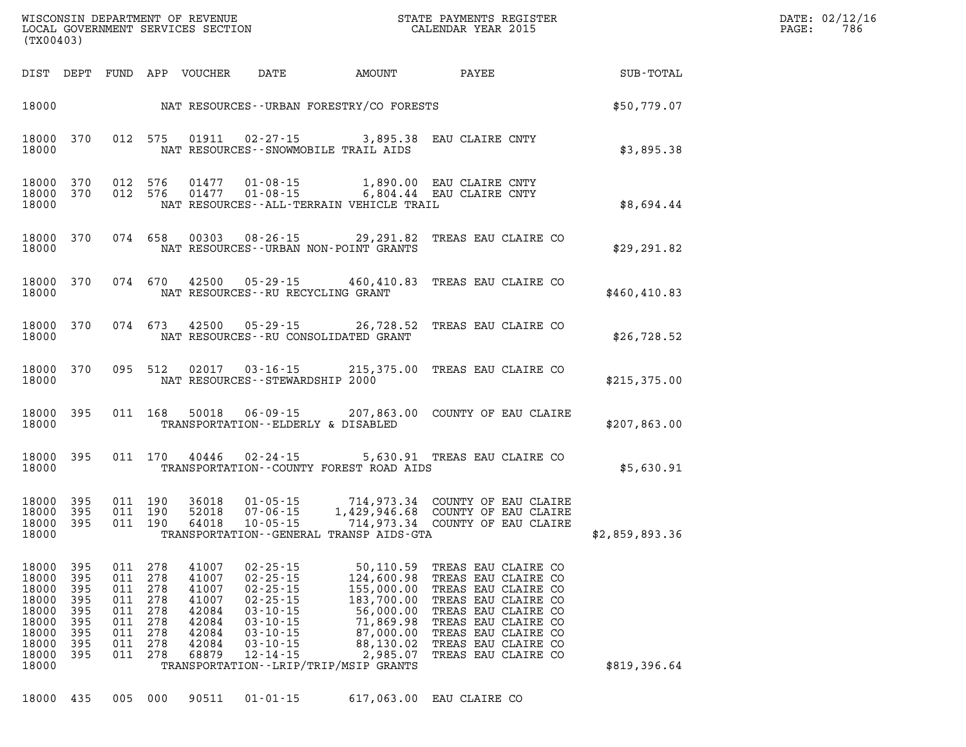| $\texttt{DATE}$ : | 02/12/16 |
|-------------------|----------|
| PAGE:             | 786      |

| (TX00403)                                                                              |                                                             |                                                             |                                                             |                                                                               |                                                                                                                                                                |                                                                                                                                                              |                                                                                                                                                                                                             |                |
|----------------------------------------------------------------------------------------|-------------------------------------------------------------|-------------------------------------------------------------|-------------------------------------------------------------|-------------------------------------------------------------------------------|----------------------------------------------------------------------------------------------------------------------------------------------------------------|--------------------------------------------------------------------------------------------------------------------------------------------------------------|-------------------------------------------------------------------------------------------------------------------------------------------------------------------------------------------------------------|----------------|
| DIST                                                                                   | DEPT                                                        | FUND APP                                                    |                                                             | VOUCHER                                                                       | DATE                                                                                                                                                           | AMOUNT                                                                                                                                                       | PAYEE                                                                                                                                                                                                       | SUB-TOTAL      |
| 18000                                                                                  |                                                             |                                                             |                                                             |                                                                               |                                                                                                                                                                | NAT RESOURCES--URBAN FORESTRY/CO FORESTS                                                                                                                     |                                                                                                                                                                                                             | \$50,779.07    |
| 18000<br>18000                                                                         | 370                                                         | 012                                                         | 575                                                         | 01911                                                                         | $02 - 27 - 15$                                                                                                                                                 | 3,895.38<br>NAT RESOURCES - - SNOWMOBILE TRAIL AIDS                                                                                                          | EAU CLAIRE CNTY                                                                                                                                                                                             | \$3,895.38     |
| 18000<br>18000<br>18000                                                                | 370<br>370                                                  | 012<br>012                                                  | 576<br>576                                                  | 01477<br>01477                                                                | $01 - 08 - 15$<br>$01 - 08 - 15$                                                                                                                               | 1,890.00<br>NAT RESOURCES - - ALL-TERRAIN VEHICLE TRAIL                                                                                                      | EAU CLAIRE CNTY<br>6,804.44 EAU CLAIRE CNTY                                                                                                                                                                 | \$8,694.44     |
| 18000<br>18000                                                                         | 370                                                         | 074                                                         | 658                                                         | 00303                                                                         | $08 - 26 - 15$                                                                                                                                                 | 29,291.82<br>NAT RESOURCES - - URBAN NON-POINT GRANTS                                                                                                        | TREAS EAU CLAIRE CO                                                                                                                                                                                         | \$29, 291.82   |
| 18000<br>18000                                                                         | 370                                                         | 074                                                         | 670                                                         | 42500                                                                         | $05 - 29 - 15$                                                                                                                                                 | 460,410.83<br>NAT RESOURCES -- RU RECYCLING GRANT                                                                                                            | TREAS EAU CLAIRE CO                                                                                                                                                                                         | \$460, 410.83  |
| 18000<br>18000                                                                         | 370                                                         | 074                                                         | 673                                                         | 42500                                                                         | $05 - 29 - 15$                                                                                                                                                 | 26,728.52<br>NAT RESOURCES - - RU CONSOLIDATED GRANT                                                                                                         | TREAS EAU CLAIRE CO                                                                                                                                                                                         | \$26,728.52    |
| 18000<br>18000                                                                         | 370                                                         | 095                                                         | 512                                                         | 02017                                                                         | $03 - 16 - 15$<br>NAT RESOURCES - - STEWARDSHIP 2000                                                                                                           | 215,375.00                                                                                                                                                   | TREAS EAU CLAIRE CO                                                                                                                                                                                         | \$215,375.00   |
| 18000<br>18000                                                                         | 395                                                         | 011                                                         | 168                                                         | 50018                                                                         | $06 - 09 - 15$                                                                                                                                                 | 207,863.00<br>TRANSPORTATION--ELDERLY & DISABLED                                                                                                             | COUNTY OF EAU CLAIRE                                                                                                                                                                                        | \$207,863.00   |
| 18000<br>18000                                                                         | 395                                                         | 011                                                         | 170                                                         | 40446                                                                         | $02 - 24 - 15$                                                                                                                                                 | 5,630.91<br>TRANSPORTATION--COUNTY FOREST ROAD AIDS                                                                                                          | TREAS EAU CLAIRE CO                                                                                                                                                                                         | \$5,630.91     |
| 18000<br>18000<br>18000<br>18000                                                       | 395<br>395<br>395                                           | 011<br>011<br>011                                           | 190<br>190<br>190                                           | 36018<br>52018<br>64018                                                       | $01 - 05 - 15$<br>$07 - 06 - 15$<br>$10 - 05 - 15$                                                                                                             | 714,973.34<br>1,429,946.68<br>714,973.34<br>TRANSPORTATION--GENERAL TRANSP AIDS-GTA                                                                          | COUNTY OF EAU CLAIRE<br>COUNTY OF EAU CLAIRE<br>COUNTY OF EAU CLAIRE                                                                                                                                        | \$2,859,893.36 |
| 18000<br>18000<br>18000<br>18000<br>18000<br>18000<br>18000<br>18000<br>18000<br>18000 | 395<br>395<br>395<br>395<br>395<br>395<br>395<br>395<br>395 | 011<br>011<br>011<br>011<br>011<br>011<br>011<br>011<br>011 | 278<br>278<br>278<br>278<br>278<br>278<br>278<br>278<br>278 | 41007<br>41007<br>41007<br>41007<br>42084<br>42084<br>42084<br>42084<br>68879 | $02 - 25 - 15$<br>$02 - 25 - 15$<br>$02 - 25 - 15$<br>$02 - 25 - 15$<br>$03 - 10 - 15$<br>$03 - 10 - 15$<br>$03 - 10 - 15$<br>$03 - 10 - 15$<br>$12 - 14 - 15$ | 50,110.59<br>124,600.98<br>155,000.00<br>183,700.00<br>56,000.00<br>71,869.98<br>87,000.00<br>88,130.02<br>2,985.07<br>TRANSPORTATION--LRIP/TRIP/MSIP GRANTS | TREAS EAU CLAIRE CO<br>TREAS EAU CLAIRE CO<br>TREAS EAU CLAIRE CO<br>TREAS EAU CLAIRE CO<br>TREAS EAU CLAIRE CO<br>TREAS EAU CLAIRE CO<br>TREAS EAU CLAIRE CO<br>TREAS EAU CLAIRE CO<br>TREAS EAU CLAIRE CO | \$819,396.64   |

WISCONSIN DEPARTMENT OF REVENUE STATE STATE PAYMENTS REGISTER LOCAL GOVERNMENT SERVICES SECTION

LOCAL GOVERNMENT SERVICES SECTION

**18000 435 005 000 90511 01-01-15 617,063.00 EAU CLAIRE CO**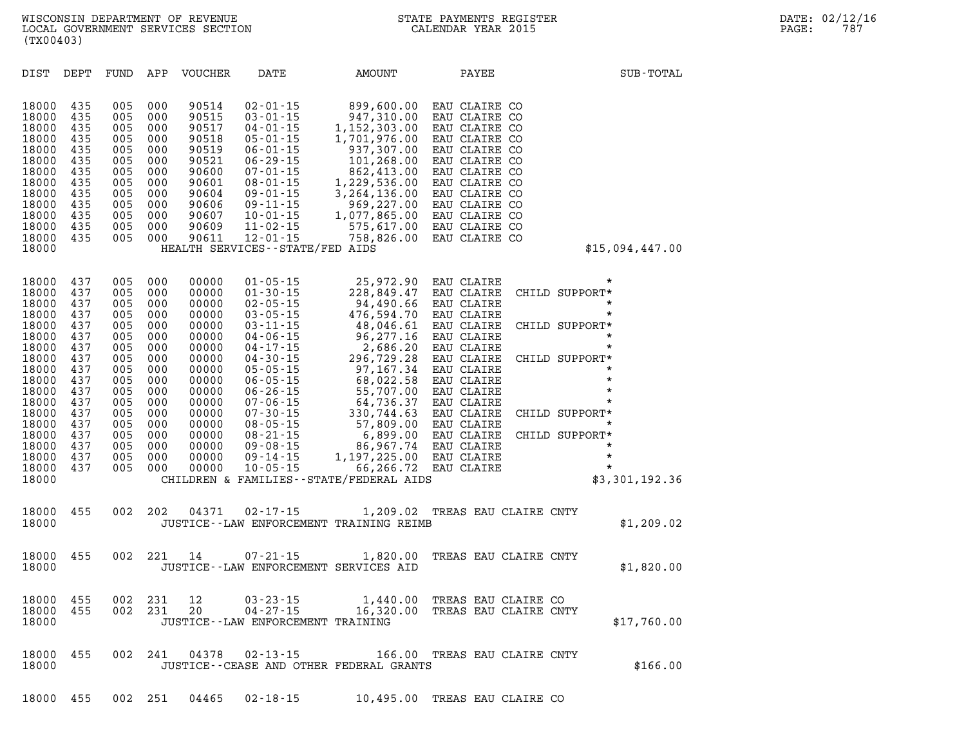| SUB-TOTAL                                                                                                                                                                                                                               | PAYEE                                                                                                                                                                                                                                                    | <b>AMOUNT</b>                                                                                                                                                                                                                               | DATE                                                                                                                                                                                                                                                                                                                                                                        | <b>VOUCHER</b>                                                                                                                                                 | APP                                                                                                                        | FUND                                                                                                                       | DEPT                                                                                                                       | DIST                                                                                                                                                                    |
|-----------------------------------------------------------------------------------------------------------------------------------------------------------------------------------------------------------------------------------------|----------------------------------------------------------------------------------------------------------------------------------------------------------------------------------------------------------------------------------------------------------|---------------------------------------------------------------------------------------------------------------------------------------------------------------------------------------------------------------------------------------------|-----------------------------------------------------------------------------------------------------------------------------------------------------------------------------------------------------------------------------------------------------------------------------------------------------------------------------------------------------------------------------|----------------------------------------------------------------------------------------------------------------------------------------------------------------|----------------------------------------------------------------------------------------------------------------------------|----------------------------------------------------------------------------------------------------------------------------|----------------------------------------------------------------------------------------------------------------------------|-------------------------------------------------------------------------------------------------------------------------------------------------------------------------|
| \$15,094,447.00                                                                                                                                                                                                                         | EAU CLAIRE CO<br>EAU CLAIRE CO<br>EAU CLAIRE CO<br>EAU CLAIRE CO<br>EAU CLAIRE CO<br>EAU CLAIRE CO<br>EAU CLAIRE CO<br>EAU CLAIRE CO<br>EAU CLAIRE CO<br>EAU CLAIRE CO<br>EAU CLAIRE CO<br>EAU CLAIRE CO<br>EAU CLAIRE CO                                | 899,600.00<br>947,310.00<br>1,152,303.00<br>1,701,976.00<br>937,307.00<br>101,268.00<br>862,413.00<br>1,229,536.00<br>3,264,136.00<br>969,227.00<br>1,077,865.00<br>575,617.00<br>758,826.00                                                | $02 - 01 - 15$<br>$03 - 01 - 15$<br>$04 - 01 - 15$<br>$05 - 01 - 15$<br>$06 - 01 - 15$<br>$06 - 29 - 15$<br>$07 - 01 - 15$<br>$08 - 01 - 15$<br>$09 - 01 - 15$<br>$09 - 11 - 15$<br>$10 - 01 - 15$<br>$11 - 02 - 15$<br>$12 - 01 - 15$<br>HEALTH SERVICES - - STATE/FED AIDS                                                                                                | 90514<br>90515<br>90517<br>90518<br>90519<br>90521<br>90600<br>90601<br>90604<br>90606<br>90607<br>90609<br>90611                                              | 000<br>000<br>000<br>000<br>000<br>000<br>000<br>000<br>000<br>000<br>000<br>000<br>000                                    | 005<br>005<br>005<br>005<br>005<br>005<br>005<br>005<br>005<br>005<br>005<br>005<br>005                                    | 435<br>435<br>435<br>435<br>435<br>435<br>435<br>435<br>435<br>435<br>435<br>435<br>435                                    | 18000<br>18000<br>18000<br>18000<br>18000<br>18000<br>18000<br>18000<br>18000<br>18000<br>18000<br>18000<br>18000<br>18000                                              |
| $^\star$<br>CHILD SUPPORT*<br>$\star$<br>$\star$<br>CHILD SUPPORT*<br>$\star$<br>$^\star$<br>CHILD SUPPORT*<br>*<br>$\star$<br>*<br>*<br>CHILD SUPPORT*<br>$\star$<br>CHILD SUPPORT*<br>$\star$<br>$\star$<br>$\star$<br>\$3,301,192.36 | EAU CLAIRE<br>EAU CLAIRE<br>EAU CLAIRE<br>EAU CLAIRE<br>EAU CLAIRE<br>EAU CLAIRE<br>EAU CLAIRE<br>EAU CLAIRE<br>EAU CLAIRE<br>EAU CLAIRE<br>EAU CLAIRE<br>EAU CLAIRE<br>EAU CLAIRE<br>EAU CLAIRE<br>EAU CLAIRE<br>EAU CLAIRE<br>EAU CLAIRE<br>EAU CLAIRE | 25,972.90<br>228,849.47<br>94,490.66<br>476,594.70<br>48,046.61<br>96,277.16<br>2,686.20<br>296,729.28<br>97,167.34<br>68,022.58<br>55,707.00<br>64,736.37<br>330,744.63<br>57,809.00<br>6,899.00<br>86,967.74<br>1,197,225.00<br>66,266.72 | $01 - 05 - 15$<br>$01 - 30 - 15$<br>$02 - 05 - 15$<br>$03 - 05 - 15$<br>$03 - 11 - 15$<br>$04 - 06 - 15$<br>$04 - 17 - 15$<br>$04 - 30 - 15$<br>$05 - 05 - 15$<br>$06 - 05 - 15$<br>$06 - 26 - 15$<br>$07 - 06 - 15$<br>$07 - 30 - 15$<br>$08 - 05 - 15$<br>$08 - 21 - 15$<br>$09 - 08 - 15$<br>$09 - 14 - 15$<br>$10 - 05 - 15$<br>CHILDREN & FAMILIES--STATE/FEDERAL AIDS | 00000<br>00000<br>00000<br>00000<br>00000<br>00000<br>00000<br>00000<br>00000<br>00000<br>00000<br>00000<br>00000<br>00000<br>00000<br>00000<br>00000<br>00000 | 000<br>000<br>000<br>000<br>000<br>000<br>000<br>000<br>000<br>000<br>000<br>000<br>000<br>000<br>000<br>000<br>000<br>000 | 005<br>005<br>005<br>005<br>005<br>005<br>005<br>005<br>005<br>005<br>005<br>005<br>005<br>005<br>005<br>005<br>005<br>005 | 437<br>437<br>437<br>437<br>437<br>437<br>437<br>437<br>437<br>437<br>437<br>437<br>437<br>437<br>437<br>437<br>437<br>437 | 18000<br>18000<br>18000<br>18000<br>18000<br>18000<br>18000<br>18000<br>18000<br>18000<br>18000<br>18000<br>18000<br>18000<br>18000<br>18000<br>18000<br>18000<br>18000 |
| \$1,209.02                                                                                                                                                                                                                              | TREAS EAU CLAIRE CNTY                                                                                                                                                                                                                                    | 1,209.02                                                                                                                                                                                                                                    | $02 - 17 - 15$<br>JUSTICE--LAW ENFORCEMENT TRAINING REIMB                                                                                                                                                                                                                                                                                                                   | 04371                                                                                                                                                          | 202                                                                                                                        | 002                                                                                                                        | 455                                                                                                                        | 18000<br>18000                                                                                                                                                          |
| \$1,820.00                                                                                                                                                                                                                              | TREAS EAU CLAIRE CNTY                                                                                                                                                                                                                                    | 1,820.00                                                                                                                                                                                                                                    | 07-21-15<br>JUSTICE -- LAW ENFORCEMENT SERVICES AID                                                                                                                                                                                                                                                                                                                         | 14                                                                                                                                                             | 221                                                                                                                        | 002                                                                                                                        | 455                                                                                                                        | 18000<br>18000                                                                                                                                                          |
| \$17,760.00                                                                                                                                                                                                                             | TREAS EAU CLAIRE CO<br>TREAS EAU CLAIRE CNTY                                                                                                                                                                                                             | 1,440.00<br>16,320.00                                                                                                                                                                                                                       | $03 - 23 - 15$<br>$04 - 27 - 15$<br>JUSTICE - - LAW ENFORCEMENT TRAINING                                                                                                                                                                                                                                                                                                    | 12<br>20                                                                                                                                                       | 231<br>231                                                                                                                 | 002<br>002                                                                                                                 | 455<br>455                                                                                                                 | 18000<br>18000<br>18000                                                                                                                                                 |
| \$166.00                                                                                                                                                                                                                                | TREAS EAU CLAIRE CNTY                                                                                                                                                                                                                                    | 166.00                                                                                                                                                                                                                                      | $02 - 13 - 15$<br>JUSTICE - - CEASE AND OTHER FEDERAL GRANTS                                                                                                                                                                                                                                                                                                                | 04378                                                                                                                                                          | 241                                                                                                                        | 002                                                                                                                        | 455                                                                                                                        | 18000<br>18000                                                                                                                                                          |

**18000 455 002 251 04465 02-18-15 10,495.00 TREAS EAU CLAIRE CO**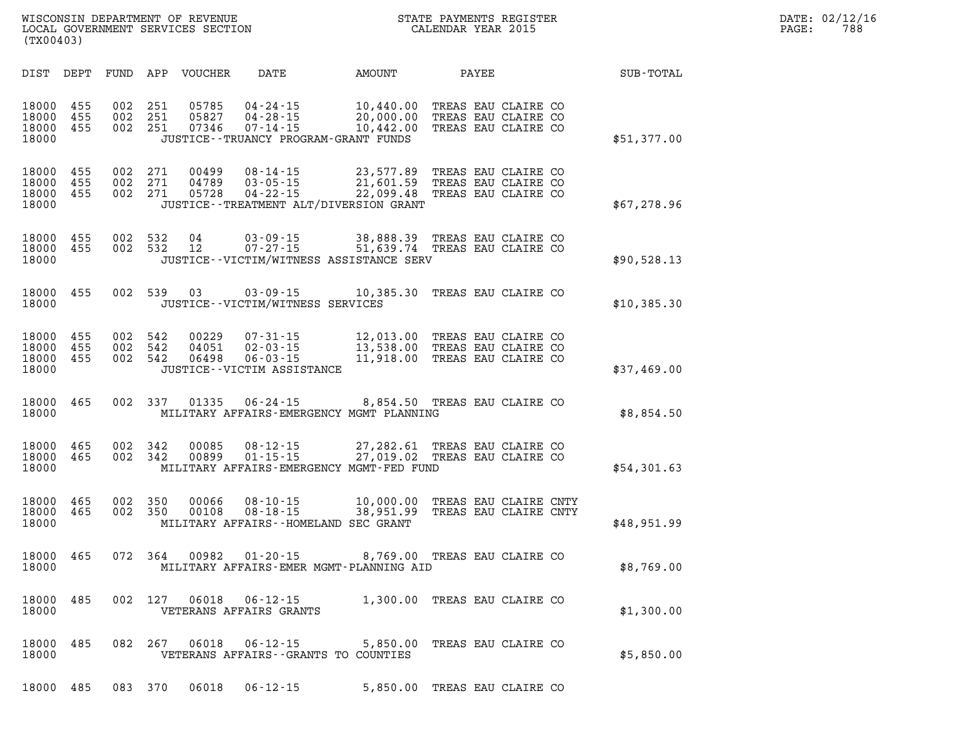| DATE:             | 02/12/16 |
|-------------------|----------|
| $\mathtt{PAGE}$ : | 788      |

| (TX00403)                        |                   |                   |                   | WISCONSIN DEPARTMENT OF REVENUE<br>LOCAL GOVERNMENT SERVICES SECTION |                                                                                               |                                     | STATE PAYMENTS REGISTER<br>CALENDAR YEAR 2015                     |  |             |
|----------------------------------|-------------------|-------------------|-------------------|----------------------------------------------------------------------|-----------------------------------------------------------------------------------------------|-------------------------------------|-------------------------------------------------------------------|--|-------------|
| DIST                             | DEPT              | FUND              | APP               | <b>VOUCHER</b>                                                       | DATE                                                                                          | AMOUNT                              | PAYEE                                                             |  | SUB-TOTAL   |
| 18000<br>18000<br>18000<br>18000 | 455<br>455<br>455 | 002<br>002<br>002 | 251<br>251<br>251 | 05785<br>05827<br>07346                                              | 04 - 24 - 15<br>$04 - 28 - 15$<br>$07 - 14 - 15$<br>JUSTICE - - TRUANCY PROGRAM - GRANT FUNDS | 10,440.00<br>20,000.00<br>10,442.00 | TREAS EAU CLAIRE CO<br>TREAS EAU CLAIRE CO<br>TREAS EAU CLAIRE CO |  | \$51,377.00 |
| 18000<br>18000<br>18000<br>18000 | 455<br>455<br>455 | 002<br>002<br>002 | 271<br>271<br>271 | 00499<br>04789<br>05728                                              | $08 - 14 - 15$<br>$03 - 05 - 15$<br>$04 - 22 - 15$<br>JUSTICE - TREATMENT ALT/DIVERSION GRANT | 23,577.89<br>21,601.59<br>22,099.48 | TREAS EAU CLAIRE CO<br>TREAS EAU CLAIRE CO<br>TREAS EAU CLAIRE CO |  | \$67,278.96 |
| 18000<br>18000<br>18000          | 455<br>455        | 002<br>002        | 532<br>532        | 04<br>12                                                             | $03 - 09 - 15$<br>$07 - 27 - 15$<br>JUSTICE -- VICTIM/WITNESS ASSISTANCE SERV                 | 38,888.39<br>51,639.74              | TREAS EAU CLAIRE CO<br>TREAS EAU CLAIRE CO                        |  | \$90,528.13 |
| 18000<br>18000                   | 455               | 002               | 539               | 03                                                                   | $03 - 09 - 15$<br>JUSTICE - - VICTIM/WITNESS SERVICES                                         | 10,385.30                           | TREAS EAU CLAIRE CO                                               |  | \$10,385.30 |
| 18000<br>18000<br>18000<br>18000 | 455<br>455<br>455 | 002<br>002<br>002 | 542<br>542<br>542 | 00229<br>04051<br>06498                                              | $07 - 31 - 15$<br>$02 - 03 - 15$<br>$06 - 03 - 15$<br>JUSTICE - - VICTIM ASSISTANCE           | 12,013.00<br>13,538.00<br>11,918.00 | TREAS EAU CLAIRE CO<br>TREAS EAU CLAIRE CO<br>TREAS EAU CLAIRE CO |  | \$37,469.00 |
| 18000<br>18000                   | 465               | 002               | 337               | 01335                                                                | $06 - 24 - 15$<br>MILITARY AFFAIRS-EMERGENCY MGMT PLANNING                                    | 8,854.50                            | TREAS EAU CLAIRE CO                                               |  | \$8,854.50  |
| 18000<br>18000<br>18000          | 465<br>465        | 002<br>002        | 342<br>342        | 00085<br>00899                                                       | $08 - 12 - 15$<br>$01 - 15 - 15$<br>MILITARY AFFAIRS-EMERGENCY MGMT-FED FUND                  | 27,282.61<br>27,019.02              | TREAS EAU CLAIRE CO<br>TREAS EAU CLAIRE CO                        |  | \$54,301.63 |
| 18000<br>18000<br>18000          | 465<br>465        | 002<br>002        | 350<br>350        | 00066<br>00108                                                       | $08 - 10 - 15$<br>$08 - 18 - 15$<br>MILITARY AFFAIRS--HOMELAND SEC GRANT                      | 10,000.00<br>38,951.99              | TREAS EAU CLAIRE CNTY<br>TREAS EAU CLAIRE CNTY                    |  | \$48,951.99 |
| 18000<br>18000                   | 465               | 072               | 364               | 00982                                                                | $01 - 20 - 15$<br>MILITARY AFFAIRS-EMER MGMT-PLANNING AID                                     | 8,769.00                            | TREAS EAU CLAIRE CO                                               |  | \$8,769.00  |
| 18000<br>18000                   | 485               | 002               | 127               | 06018                                                                | $06 - 12 - 15$<br>VETERANS AFFAIRS GRANTS                                                     |                                     | 1,300.00 TREAS EAU CLAIRE CO                                      |  | \$1,300.00  |
| 18000<br>18000                   | 485               | 082               | 267               | 06018                                                                | $06 - 12 - 15$<br>VETERANS AFFAIRS -- GRANTS TO COUNTIES                                      | 5,850.00                            | TREAS EAU CLAIRE CO                                               |  | \$5,850.00  |
| 18000                            | 485               |                   | 083 370           | 06018                                                                | $06 - 12 - 15$                                                                                |                                     | 5,850.00 TREAS EAU CLAIRE CO                                      |  |             |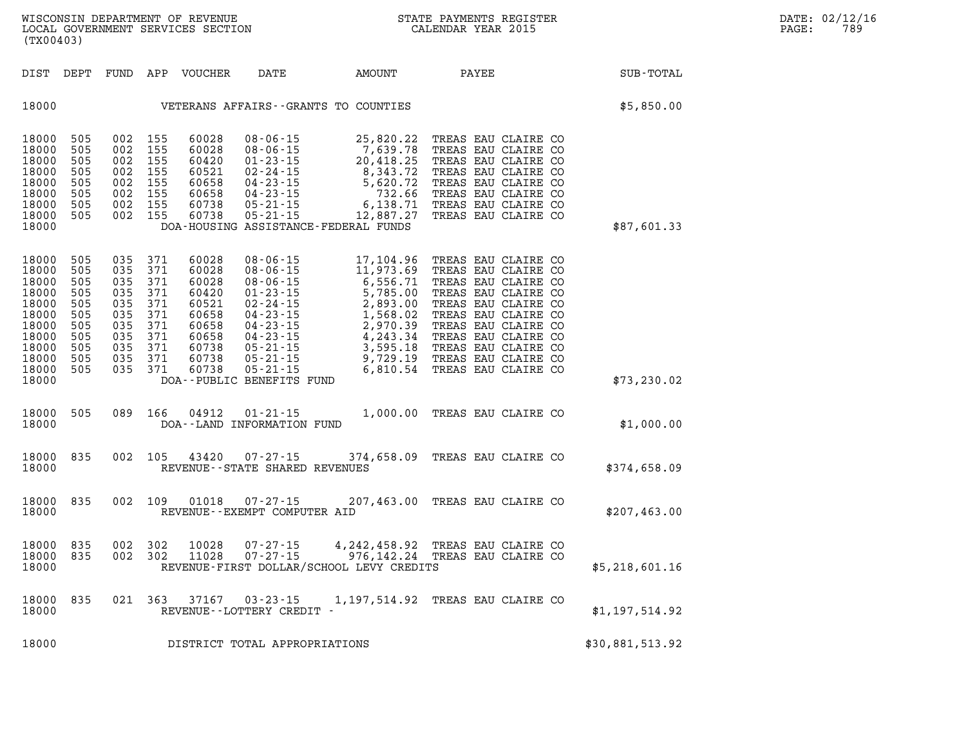| WISCONSIN DEPARTMENT OF REVENUE   | PAYMENTS REGISTER<br>STATE |       | DATE: 02/12/16 |
|-----------------------------------|----------------------------|-------|----------------|
| LOCAL GOVERNMENT SERVICES SECTION | CALENDAR YEAR 2015         | PAGE: | 789            |

| (TX00403)                                                                                                |                                                                           |                                        |                                                                                               | LOCAL GOVERNMENT SERVICES SECTION                                                               |                                                                                                                                              |                                                                                                                                                                                                                                                                                              | CALENDAR YEAR 2015                                                                                                                                                                   |                 | PAGE: | 789 |
|----------------------------------------------------------------------------------------------------------|---------------------------------------------------------------------------|----------------------------------------|-----------------------------------------------------------------------------------------------|-------------------------------------------------------------------------------------------------|----------------------------------------------------------------------------------------------------------------------------------------------|----------------------------------------------------------------------------------------------------------------------------------------------------------------------------------------------------------------------------------------------------------------------------------------------|--------------------------------------------------------------------------------------------------------------------------------------------------------------------------------------|-----------------|-------|-----|
|                                                                                                          | DIST DEPT                                                                 |                                        |                                                                                               | FUND APP VOUCHER                                                                                |                                                                                                                                              | DATE AMOUNT                                                                                                                                                                                                                                                                                  | PAYEE                                                                                                                                                                                | SUB-TOTAL       |       |     |
| 18000                                                                                                    |                                                                           |                                        |                                                                                               |                                                                                                 |                                                                                                                                              | VETERANS AFFAIRS--GRANTS TO COUNTIES                                                                                                                                                                                                                                                         |                                                                                                                                                                                      | \$5,850.00      |       |     |
| 18000<br>18000<br>18000<br>18000<br>18000<br>18000<br>18000<br>18000<br>18000                            | 505<br>505<br>505<br>505<br>505<br>505<br>505<br>505                      | 002 155<br>002 155                     | 002 155<br>002 155<br>002 155<br>002 155<br>002 155<br>002 155                                | 60028<br>60028<br>60420<br>60521<br>60658<br>60658<br>60738<br>60738                            | $08 - 06 - 15$<br>$08 - 06 - 15$<br>$01 - 23 - 15$<br>$02 - 24 - 15$<br>$04 - 23 - 15$<br>$04 - 23 - 15$<br>$05 - 21 - 15$<br>$05 - 21 - 15$ | 25,820.22<br>7,639.78<br>$\begin{array}{r} \n 7,639.78 \\  20,418.25 \\  8,343.72 \\  \hline\n 5,620.72 \\  732.66 \\  6,138.71 \\  12,887.27 \\  \end{array}$<br>DOA-HOUSING ASSISTANCE-FEDERAL FUNDS                                                                                       | TREAS EAU CLAIRE CO<br>TREAS EAU CLAIRE CO<br>TREAS EAU CLAIRE CO<br>TREAS EAU CLAIRE CO<br>TREAS EAU CLAIRE CO<br>TREAS EAU CLAIRE CO<br>TREAS EAU CLAIRE CO<br>TREAS EAU CLAIRE CO | \$87,601.33     |       |     |
| 18000<br>18000<br>18000<br>18000<br>18000<br>18000<br>18000<br>18000<br>18000<br>18000<br>18000<br>18000 | 505<br>505<br>505<br>505<br>505<br>505<br>505<br>505<br>505<br>505<br>505 | 035<br>035<br>035<br>035<br>035<br>035 | 035 371<br>371<br>035 371<br>371<br>371<br>371<br>371<br>035 371<br>035 371<br>371<br>035 371 | 60028<br>60028<br>60028<br>60420<br>60521<br>60658<br>60658<br>60658<br>60738<br>60738<br>60738 | $08 - 06 - 15$<br>$08 - 06 - 15$<br>$08 - 06 - 15$<br>DOA--PUBLIC BENEFITS FUND                                                              | 17,104.96<br>11,973.69<br>6,556.71<br>08-06-15<br>01-23-15<br>5,785.00 TREAS EAU CLAIRE CO<br>02-24-15<br>2,893.00 TREAS EAU CLAIRE CO<br>04-23-15<br>2,970.39 TREAS EAU CLAIRE CO<br>04-23-15<br>2,970.39 TREAS EAU CLAIRE CO<br>04-23-15<br>4,243.34 TREAS EAU CLAIRE CO<br>05-21-15<br>3, | TREAS EAU CLAIRE CO<br>TREAS EAU CLAIRE CO<br>TREAS EAU CLAIRE CO                                                                                                                    | \$73, 230.02    |       |     |
| 18000<br>18000                                                                                           | 505                                                                       |                                        | 089 166                                                                                       | 04912                                                                                           | $01 - 21 - 15$<br>DOA--LAND INFORMATION FUND                                                                                                 | 1,000.00 TREAS EAU CLAIRE CO                                                                                                                                                                                                                                                                 |                                                                                                                                                                                      | \$1,000.00      |       |     |
| 18000<br>18000                                                                                           | 835                                                                       |                                        | 002 105                                                                                       | 43420                                                                                           | $07 - 27 - 15$<br>REVENUE - - STATE SHARED REVENUES                                                                                          |                                                                                                                                                                                                                                                                                              | 374,658.09 TREAS EAU CLAIRE CO                                                                                                                                                       | \$374,658.09    |       |     |
| 18000<br>18000                                                                                           | 835                                                                       |                                        | 002 109                                                                                       | 01018                                                                                           | REVENUE--EXEMPT COMPUTER AID                                                                                                                 | 07-27-15 207,463.00 TREAS EAU CLAIRE CO                                                                                                                                                                                                                                                      |                                                                                                                                                                                      | \$207,463.00    |       |     |
| 18000<br>18000<br>18000                                                                                  | 835<br>835                                                                |                                        | 002 302<br>002 302                                                                            | 10028<br>11028                                                                                  | $07 - 27 - 15$<br>$07 - 27 - 15$                                                                                                             | 976,142.24 TREAS EAU CLAIRE CO<br>REVENUE-FIRST DOLLAR/SCHOOL LEVY CREDITS                                                                                                                                                                                                                   | 4, 242, 458.92 TREAS EAU CLAIRE CO                                                                                                                                                   | \$5,218,601.16  |       |     |
| 18000<br>18000                                                                                           | 835                                                                       |                                        | 021 363                                                                                       | 37167                                                                                           | $03 - 23 - 15$<br>REVENUE--LOTTERY CREDIT -                                                                                                  |                                                                                                                                                                                                                                                                                              | 1,197,514.92 TREAS EAU CLAIRE CO                                                                                                                                                     | \$1,197,514.92  |       |     |
| 18000                                                                                                    |                                                                           |                                        |                                                                                               |                                                                                                 | DISTRICT TOTAL APPROPRIATIONS                                                                                                                |                                                                                                                                                                                                                                                                                              |                                                                                                                                                                                      | \$30,881,513.92 |       |     |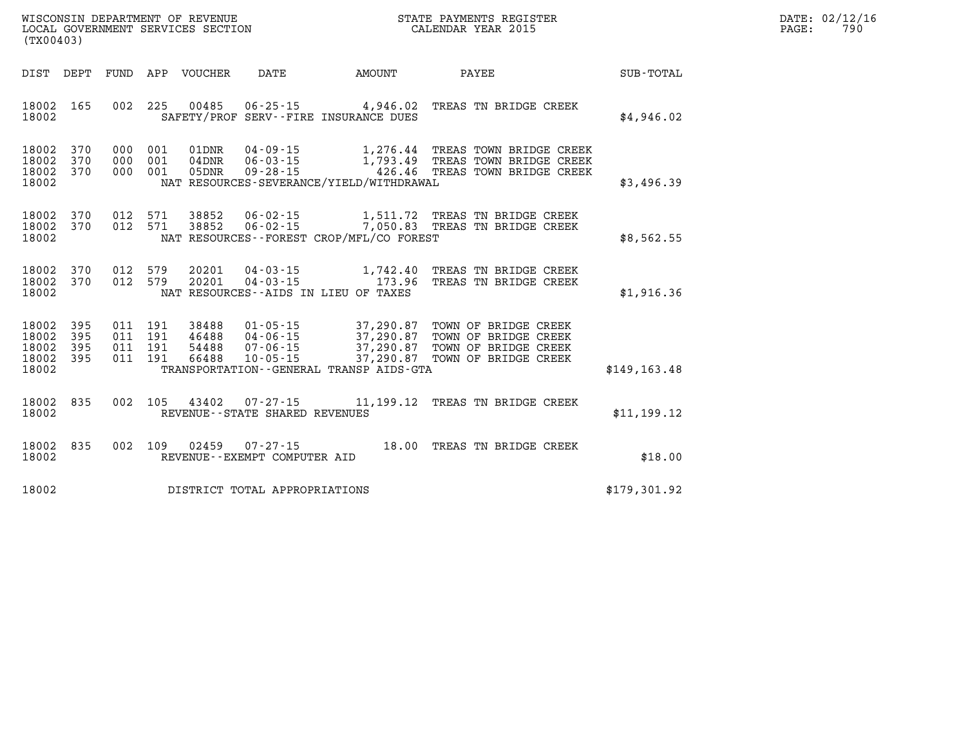| WISCONSIN DEPARTMENT OF REVENUE   | STATE PAYMENTS REGISTER | DATE: 02/12/16 |
|-----------------------------------|-------------------------|----------------|
| LOCAL GOVERNMENT SERVICES SECTION | CALENDAR YEAR 2015      | 790<br>PAGE    |

| (TX00403)                                                             |                          |                                                              |                                                                                                                 |                                                  |                                                                                                        |                  |
|-----------------------------------------------------------------------|--------------------------|--------------------------------------------------------------|-----------------------------------------------------------------------------------------------------------------|--------------------------------------------------|--------------------------------------------------------------------------------------------------------|------------------|
| DIST<br>DEPT                                                          | FUND                     | APP<br>VOUCHER                                               | DATE                                                                                                            | <b>AMOUNT</b>                                    | PAYEE                                                                                                  | <b>SUB-TOTAL</b> |
| 18002<br>165<br>18002                                                 | 002                      | 225<br>00485                                                 | $06 - 25 - 15$<br>SAFETY/PROF SERV--FIRE INSURANCE DUES                                                         | 4,946.02                                         | TREAS TN BRIDGE CREEK                                                                                  | \$4,946.02       |
| 18002<br>370<br>18002<br>370<br>18002<br>370<br>18002                 | 000<br>000<br>000        | 001<br>01DNR<br>001<br>$04$ DNR<br>001<br>05DNR              | $04 - 09 - 15$<br>$06 - 03 - 15$<br>$09 - 28 - 15$<br>NAT RESOURCES-SEVERANCE/YIELD/WITHDRAWAL                  |                                                  | 1,276.44 TREAS TOWN BRIDGE CREEK<br>1,793.49 TREAS TOWN BRIDGE CREEK<br>426.46 TREAS TOWN BRIDGE CREEK | \$3,496.39       |
| 18002<br>370<br>18002<br>370<br>18002                                 | 012<br>012               | 571<br>38852<br>571<br>38852                                 | $06 - 02 - 15$<br>$06 - 02 - 15$<br>NAT RESOURCES - - FOREST CROP/MFL/CO FOREST                                 | 1,511.72                                         | TREAS TN BRIDGE CREEK<br>7,050.83 TREAS TN BRIDGE CREEK                                                | \$8,562.55       |
| 18002<br>370<br>370<br>18002<br>18002                                 | 012<br>012               | 579<br>20201<br>579<br>20201                                 | $04 - 03 - 15$<br>$04 - 03 - 15$<br>NAT RESOURCES -- AIDS IN LIEU OF TAXES                                      | 1,742.40<br>173.96                               | TREAS TN BRIDGE CREEK<br>TREAS TN BRIDGE CREEK                                                         | \$1,916.36       |
| 18002<br>395<br>395<br>18002<br>18002<br>395<br>18002<br>395<br>18002 | 011<br>011<br>011<br>011 | 191<br>38488<br>191<br>46488<br>191<br>54488<br>191<br>66488 | $01 - 05 - 15$<br>$04 - 06 - 15$<br>$07 - 06 - 15$<br>$10 - 05 - 15$<br>TRANSPORTATION--GENERAL TRANSP AIDS-GTA | 37,290.87<br>37,290.87<br>37,290.87<br>37,290.87 | TOWN OF BRIDGE CREEK<br>TOWN OF BRIDGE CREEK<br>TOWN OF BRIDGE CREEK<br>TOWN OF BRIDGE CREEK           | \$149, 163.48    |
| 835<br>18002<br>18002                                                 | 002                      | 105<br>43402                                                 | 07-27-15<br>REVENUE - - STATE SHARED REVENUES                                                                   | 11,199.12                                        | TREAS TN BRIDGE CREEK                                                                                  | \$11,199.12      |
| 835<br>18002<br>18002                                                 | 002                      | 109<br>02459                                                 | $07 - 27 - 15$<br>REVENUE - - EXEMPT COMPUTER AID                                                               | 18.00                                            | TREAS TN BRIDGE CREEK                                                                                  | \$18.00          |
| 18002                                                                 |                          |                                                              | DISTRICT TOTAL APPROPRIATIONS                                                                                   |                                                  |                                                                                                        | \$179,301.92     |

**WISCONSIN DEPARTMENT OF REVENUE STATE STATE PAYMENTS REGISTER**<br>LOCAL GOVERNMENT SERVICES SECTION STATE: OF BALENDAR YEAR 2015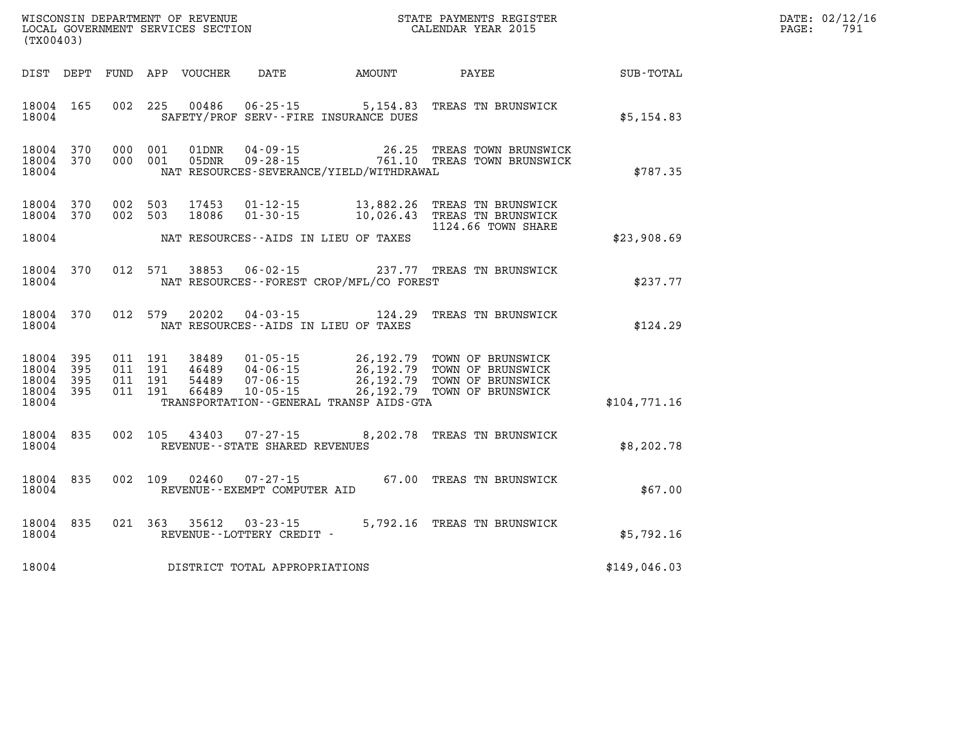| WISCONSIN DEPARTMENT OF REVENUE   | STATE PAYMENTS REGISTER | DATE: | : 02/12/16 |
|-----------------------------------|-------------------------|-------|------------|
| LOCAL GOVERNMENT SERVICES SECTION | CALENDAR YEAR 2015      | PAGE  | 70         |

| (TX00403)                                 |                          |            |                                  | LOCAL GOVERNMENT SERVICES SECTION |                                                  |                                                   | CALENDAR YEAR 2015                                                                                                                                                        |              | PAGE: | 791 |
|-------------------------------------------|--------------------------|------------|----------------------------------|-----------------------------------|--------------------------------------------------|---------------------------------------------------|---------------------------------------------------------------------------------------------------------------------------------------------------------------------------|--------------|-------|-----|
| DIST DEPT                                 |                          |            |                                  | FUND APP VOUCHER                  | <b>DATE</b>                                      | AMOUNT                                            | PAYEE                                                                                                                                                                     | SUB-TOTAL    |       |     |
| 18004 165<br>18004                        |                          |            | 002 225                          | 00486                             | $06 - 25 - 15$                                   | 5,154.83<br>SAFETY/PROF SERV--FIRE INSURANCE DUES | TREAS TN BRUNSWICK                                                                                                                                                        | \$5,154.83   |       |     |
| 18004 370<br>18004 370<br>18004           |                          |            | 000 001<br>000 001               | 01DNR<br>05DNR                    | 04-09-15                                         | 26.25<br>NAT RESOURCES-SEVERANCE/YIELD/WITHDRAWAL | TREAS TOWN BRUNSWICK<br>09-28-15 761.10 TREAS TOWN BRUNSWICK                                                                                                              | \$787.35     |       |     |
| 18004<br>18004                            | 370<br>370               |            | 002 503<br>002 503               | 17453<br>18086                    | $01 - 12 - 15$<br>$01 - 30 - 15$                 | 13,882.26                                         | TREAS TN BRUNSWICK<br>10,026.43 TREAS TN BRUNSWICK                                                                                                                        |              |       |     |
| 18004                                     |                          |            |                                  |                                   |                                                  | NAT RESOURCES--AIDS IN LIEU OF TAXES              | 1124.66 TOWN SHARE                                                                                                                                                        | \$23,908.69  |       |     |
| 18004<br>18004                            | 370                      |            | 012 571                          | 38853                             | $06 - 02 - 15$                                   | NAT RESOURCES--FOREST CROP/MFL/CO FOREST          | 237.77 TREAS TN BRUNSWICK                                                                                                                                                 | \$237.77     |       |     |
| 18004<br>18004                            | 370                      |            | 012 579                          | 20202                             | 04 - 03 - 15                                     | 124.29<br>NAT RESOURCES--AIDS IN LIEU OF TAXES    | TREAS TN BRUNSWICK                                                                                                                                                        | \$124.29     |       |     |
| 18004<br>18004<br>18004<br>18004<br>18004 | 395<br>395<br>395<br>395 | 011<br>011 | 011 191<br>011 191<br>191<br>191 | 38489<br>46489<br>54489<br>66489  | 04-06-15<br>$07 - 06 - 15$<br>$10 - 05 - 15$     | TRANSPORTATION - - GENERAL TRANSP AIDS - GTA      | 01-05-15 26,192.79 TOWN OF BRUNSWICK<br>04-06-15 26,192.79 TOWN OF BRUNSWICK<br>26,192.79 TOWN OF BRUNSWICK<br>26,192.79 TOWN OF BRUNSWICK<br>26,192.79 TOWN OF BRUNSWICK | \$104,771.16 |       |     |
| 18004 835<br>18004                        |                          |            | 002 105                          | 43403                             | $07 - 27 - 15$<br>REVENUE--STATE SHARED REVENUES |                                                   | 8,202.78 TREAS TN BRUNSWICK                                                                                                                                               | \$8,202.78   |       |     |
| 18004 835<br>18004                        |                          |            | 002 109                          | 02460                             | 07-27-15<br>REVENUE--EXEMPT COMPUTER AID         |                                                   | 67.00 TREAS TN BRUNSWICK                                                                                                                                                  | \$67.00      |       |     |
| 18004 835<br>18004                        |                          |            | 021 363                          | 35612                             | $03 - 23 - 15$<br>REVENUE--LOTTERY CREDIT -      |                                                   | 5,792.16 TREAS TN BRUNSWICK                                                                                                                                               | \$5,792.16   |       |     |
| 18004                                     |                          |            |                                  |                                   | DISTRICT TOTAL APPROPRIATIONS                    |                                                   |                                                                                                                                                                           | \$149,046.03 |       |     |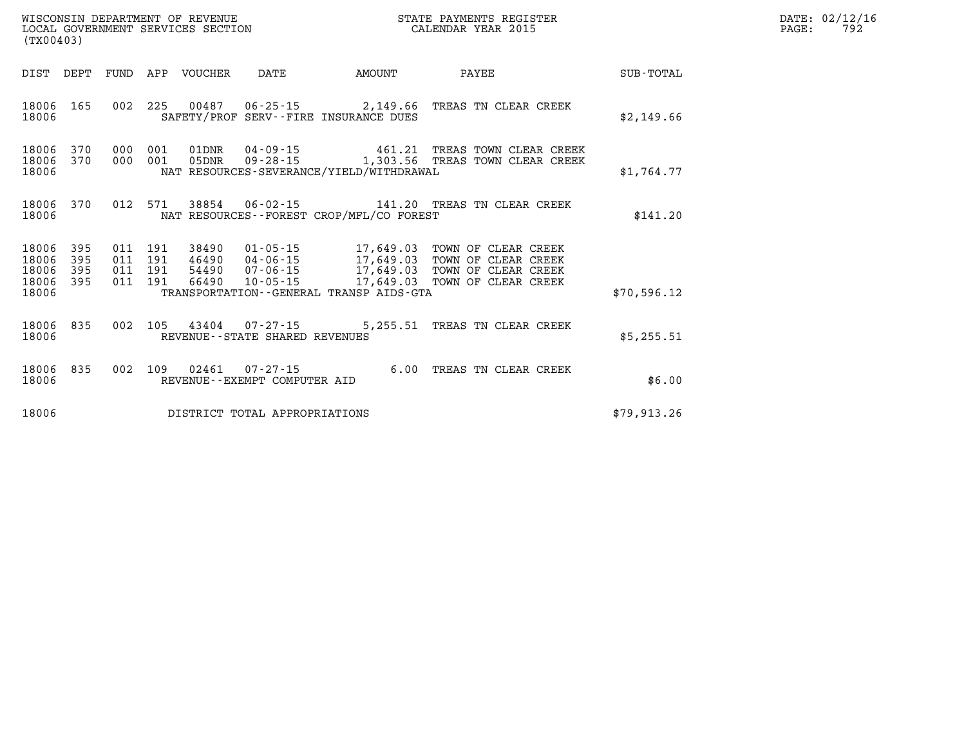|                                           | WISCONSIN DEPARTMENT OF REVENUE<br>STATE PAYMENTS REGISTER<br>LOCAL GOVERNMENT SERVICES SECTION<br>CALENDAR YEAR 2015<br>(TX00403) |                          |                                            |                                                                      |                                                                                             |                                                                                          |                  |  |  |
|-------------------------------------------|------------------------------------------------------------------------------------------------------------------------------------|--------------------------|--------------------------------------------|----------------------------------------------------------------------|---------------------------------------------------------------------------------------------|------------------------------------------------------------------------------------------|------------------|--|--|
| DIST                                      | DEPT                                                                                                                               | FUND                     | APP<br>VOUCHER                             | DATE                                                                 | AMOUNT                                                                                      | PAYEE                                                                                    | <b>SUB-TOTAL</b> |  |  |
| 18006<br>18006                            | 165                                                                                                                                | 002                      | 225                                        |                                                                      | SAFETY/PROF SERV--FIRE INSURANCE DUES                                                       | 00487  06-25-15  2,149.66  TREAS TN CLEAR CREEK                                          | \$2,149.66       |  |  |
| 18006<br>18006<br>18006                   | 370<br>370                                                                                                                         | 000<br>000               | 001<br>01DNR<br>001<br>05DNR               | 04-09-15<br>$09 - 28 - 15$                                           | 461.21<br>NAT RESOURCES-SEVERANCE/YIELD/WITHDRAWAL                                          | TREAS TOWN CLEAR CREEK<br>1,303.56 TREAS TOWN CLEAR CREEK                                | \$1,764.77       |  |  |
| 18006<br>18006                            | 370                                                                                                                                | 012                      | 571<br>38854                               | $06 - 02 - 15$                                                       | NAT RESOURCES - - FOREST CROP/MFL/CO FOREST                                                 | 141.20 TREAS TN CLEAR CREEK                                                              | \$141.20         |  |  |
| 18006<br>18006<br>18006<br>18006<br>18006 | 395<br>395<br>395<br>395                                                                                                           | 011<br>011<br>011<br>011 | 191<br>191<br>54490<br>191<br>191<br>66490 | 38490 01-05-15<br>46490 04-06-15<br>$07 - 06 - 15$<br>$10 - 05 - 15$ | 17,649.03<br>17,649.03<br>17,649.03<br>17,649.03<br>TRANSPORTATION--GENERAL TRANSP AIDS-GTA | TOWN OF CLEAR CREEK<br>TOWN OF CLEAR CREEK<br>TOWN OF CLEAR CREEK<br>TOWN OF CLEAR CREEK | \$70,596.12      |  |  |
| 18006                                     | 835                                                                                                                                | 002                      | 105<br>43404                               | $07 - 27 - 15$                                                       | 5,255.51                                                                                    | TREAS TN CLEAR CREEK                                                                     |                  |  |  |
| 18006                                     |                                                                                                                                    |                          |                                            | REVENUE - - STATE SHARED REVENUES                                    |                                                                                             |                                                                                          | \$5,255.51       |  |  |
| 18006<br>18006                            | 835                                                                                                                                | 002                      | 109<br>02461                               | $07 - 27 - 15$<br>REVENUE - - EXEMPT COMPUTER AID                    | 6.00                                                                                        | TREAS TN CLEAR CREEK                                                                     | \$6.00           |  |  |
| 18006                                     |                                                                                                                                    |                          |                                            | DISTRICT TOTAL APPROPRIATIONS                                        |                                                                                             |                                                                                          | \$79.913.26      |  |  |

**DATE: 02/12/16<br>PAGE: 792**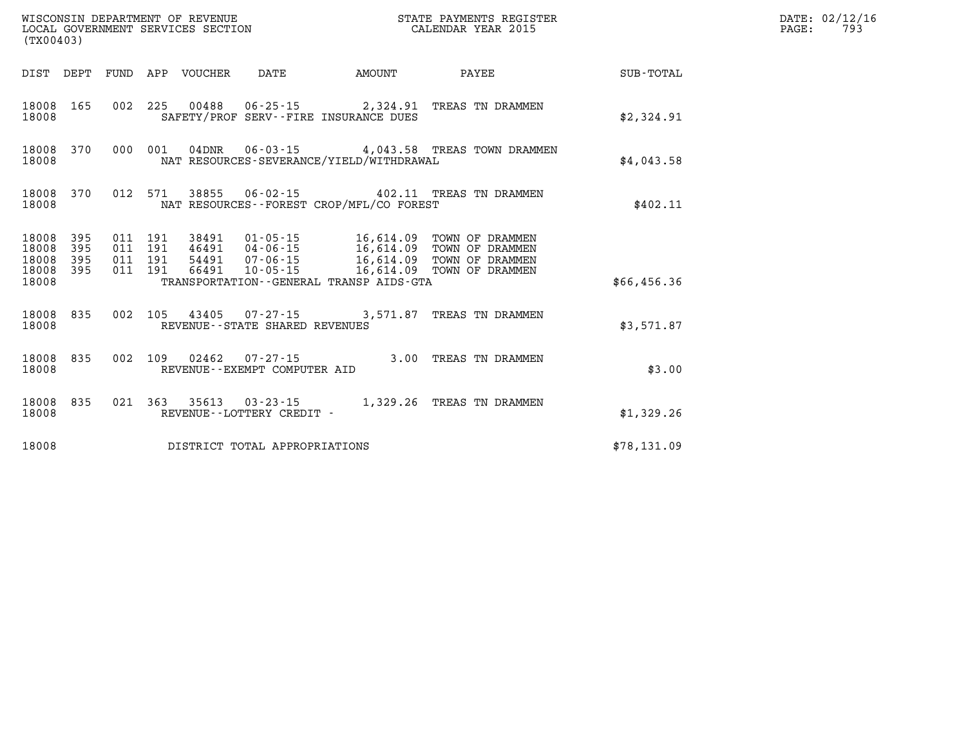|                                           | WISCONSIN DEPARTMENT OF REVENUE<br>STATE PAYMENTS REGISTER<br>LOCAL GOVERNMENT SERVICES SECTION<br>CALENDAR YEAR 2015<br>(TX00403) |                          |                          |                                  |                                                          |                                                                                                  |                                                                          |             |  |
|-------------------------------------------|------------------------------------------------------------------------------------------------------------------------------------|--------------------------|--------------------------|----------------------------------|----------------------------------------------------------|--------------------------------------------------------------------------------------------------|--------------------------------------------------------------------------|-------------|--|
| DIST                                      | DEPT                                                                                                                               | <b>FUND</b>              | APP                      | <b>VOUCHER</b>                   | <b>DATE</b>                                              | AMOUNT                                                                                           | PAYEE                                                                    | SUB-TOTAL   |  |
| 18008<br>18008                            | 165                                                                                                                                | 002                      | 225                      | 00488                            |                                                          | SAFETY/PROF SERV--FIRE INSURANCE DUES                                                            |                                                                          | \$2,324.91  |  |
| 18008<br>18008                            | 370                                                                                                                                | 000                      | 001                      | $04$ DNR                         | $06 - 03 - 15$                                           | NAT RESOURCES-SEVERANCE/YIELD/WITHDRAWAL                                                         | 4,043.58 TREAS TOWN DRAMMEN                                              | \$4,043.58  |  |
| 18008<br>18008                            | 370                                                                                                                                | 012                      | 571                      | 38855                            | 06-02-15                                                 | NAT RESOURCES - - FOREST CROP/MFL/CO FOREST                                                      | 402.11 TREAS TN DRAMMEN                                                  | \$402.11    |  |
| 18008<br>18008<br>18008<br>18008<br>18008 | 395<br>395<br>395<br>395                                                                                                           | 011<br>011<br>011<br>011 | 191<br>191<br>191<br>191 | 38491<br>46491<br>54491<br>66491 | 01-05-15<br>$04 - 06 - 15$<br>07-06-15<br>$10 - 05 - 15$ | 16,614.09<br>16,614.09<br>16,614.09<br>16,614.09<br>TRANSPORTATION - - GENERAL TRANSP AIDS - GTA | TOWN OF DRAMMEN<br>TOWN OF DRAMMEN<br>TOWN OF DRAMMEN<br>TOWN OF DRAMMEN | \$66,456.36 |  |
| 18008<br>18008                            | 835                                                                                                                                | 002                      | 105                      | 43405                            | $07 - 27 - 15$<br>REVENUE - - STATE SHARED REVENUES      | 3,571.87                                                                                         | TREAS TN DRAMMEN                                                         | \$3,571.87  |  |
| 18008<br>18008                            | 835                                                                                                                                | 002                      | 109                      | 02462                            | $07 - 27 - 15$<br>REVENUE--EXEMPT COMPUTER AID           | 3.00                                                                                             | TREAS TN DRAMMEN                                                         | \$3.00      |  |
| 18008<br>18008                            | 835                                                                                                                                | 021                      | 363                      | 35613                            | $03 - 23 - 15$<br>REVENUE - - LOTTERY CREDIT -           | 1,329.26                                                                                         | TREAS TN DRAMMEN                                                         | \$1,329.26  |  |
| 18008                                     |                                                                                                                                    |                          |                          |                                  | DISTRICT TOTAL APPROPRIATIONS                            |                                                                                                  |                                                                          | \$78,131.09 |  |

**LOCAL GOVER SERVICE: 02/12/16<br>PAGE: 793**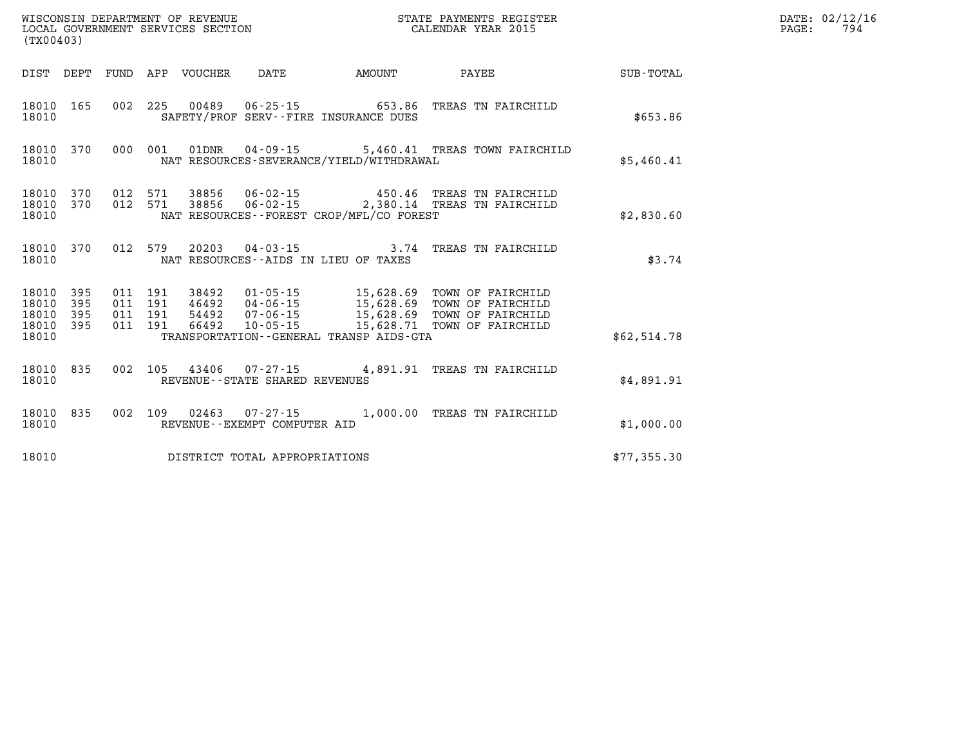| WISCONSIN DEPARTMENT OF REVENUE   | STATE PAYMENTS REGISTER | DATE: 02/12/16 |
|-----------------------------------|-------------------------|----------------|
| LOCAL GOVERNMENT SERVICES SECTION | CALENDAR YEAR 2015      | 794<br>PAGE:   |
| (TX00403)                         |                         |                |

| (TX00403)                                                             |                          |                                                                                                                                                                                 |                                                                                                                                      |             |
|-----------------------------------------------------------------------|--------------------------|---------------------------------------------------------------------------------------------------------------------------------------------------------------------------------|--------------------------------------------------------------------------------------------------------------------------------------|-------------|
| DEPT<br>DIST                                                          | FUND                     | APP<br>VOUCHER<br>DATE                                                                                                                                                          | AMOUNT<br>PAYEE                                                                                                                      | SUB-TOTAL   |
| 165<br>18010<br>18010                                                 | 002                      | 225<br>00489<br>$06 - 25 - 15$<br>SAFETY/PROF SERV--FIRE INSURANCE DUES                                                                                                         | 653.86<br>TREAS TN FAIRCHILD                                                                                                         | \$653.86    |
| 18010<br>370<br>18010                                                 | 000                      | 001<br>01DNR<br>$04 - 09 - 15$<br>NAT RESOURCES-SEVERANCE/YIELD/WITHDRAWAL                                                                                                      | 5,460.41<br>TREAS TOWN FAIRCHILD                                                                                                     | \$5,460.41  |
| 18010<br>370<br>370<br>18010<br>18010                                 | 012<br>012               | 571<br>38856<br>$06 - 02 - 15$<br>571<br>38856<br>$06 - 02 - 15$<br>NAT RESOURCES - - FOREST CROP/MFL/CO FOREST                                                                 | 450.46<br>TREAS TN FAIRCHILD<br>2,380.14 TREAS TN FAIRCHILD                                                                          | \$2,830.60  |
| 370<br>18010<br>18010                                                 | 012                      | 579<br>20203<br>$04 - 03 - 15$<br>NAT RESOURCES -- AIDS IN LIEU OF TAXES                                                                                                        | TREAS TN FAIRCHILD<br>3.74                                                                                                           | \$3.74      |
| 18010<br>395<br>18010<br>395<br>18010<br>395<br>18010<br>395<br>18010 | 011<br>011<br>011<br>011 | 191<br>38492<br>$01 - 05 - 15$<br>191<br>46492<br>$04 - 06 - 15$<br>191<br>54492<br>$07 - 06 - 15$<br>66492<br>$10 - 05 - 15$<br>191<br>TRANSPORTATION--GENERAL TRANSP AIDS-GTA | 15,628.69<br>TOWN OF FAIRCHILD<br>15,628.69<br>TOWN OF FAIRCHILD<br>15,628.69<br>TOWN OF FAIRCHILD<br>15,628.71<br>TOWN OF FAIRCHILD | \$62,514.78 |
| 18010<br>835<br>18010                                                 | 002                      | 105<br>43406<br>07-27-15<br>REVENUE - - STATE SHARED REVENUES                                                                                                                   | 4,891.91<br>TREAS TN FAIRCHILD                                                                                                       | \$4,891.91  |
| 835<br>18010<br>18010                                                 | 002                      | 109<br>02463<br>07-27-15<br>REVENUE--EXEMPT COMPUTER AID                                                                                                                        | 1,000.00<br>TREAS TN FAIRCHILD                                                                                                       | \$1,000.00  |
| 18010                                                                 |                          | DISTRICT TOTAL APPROPRIATIONS                                                                                                                                                   |                                                                                                                                      | \$77,355.30 |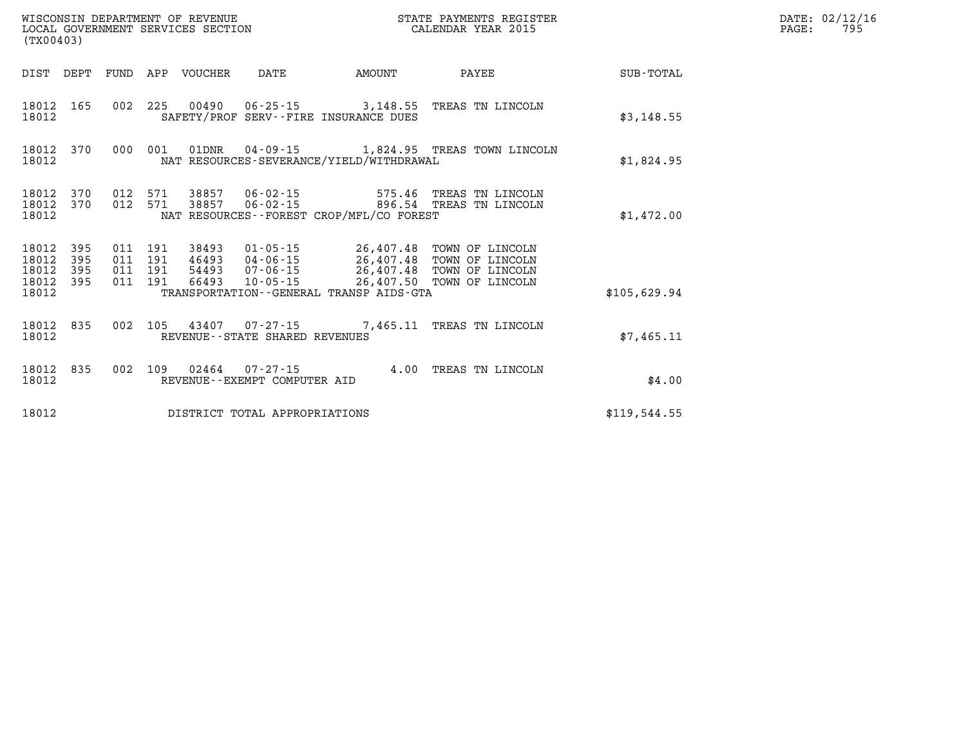| (TX00403)                                 |                          | WISCONSIN DEPARTMENT OF REVENUE<br>LOCAL GOVERNMENT SERVICES SECTION | STATE PAYMENTS REGISTER<br>CALENDAR YEAR 2015 |                                  |                                                          |                                                                                             |                                                                          |                  |
|-------------------------------------------|--------------------------|----------------------------------------------------------------------|-----------------------------------------------|----------------------------------|----------------------------------------------------------|---------------------------------------------------------------------------------------------|--------------------------------------------------------------------------|------------------|
| DIST                                      | DEPT                     | FUND                                                                 | APP                                           | <b>VOUCHER</b>                   | <b>DATE</b>                                              | <b>AMOUNT</b>                                                                               | PAYEE                                                                    | <b>SUB-TOTAL</b> |
| 18012<br>18012                            | 165                      | 002                                                                  | 225                                           |                                  | $00490 06 - 25 - 15$                                     | SAFETY/PROF SERV--FIRE INSURANCE DUES                                                       | 3,148.55 TREAS TN LINCOLN                                                | \$3,148.55       |
| 18012<br>18012                            | 370                      | 000                                                                  | 001                                           | 01DNR                            | $04 - 09 - 15$                                           | NAT RESOURCES-SEVERANCE/YIELD/WITHDRAWAL                                                    | 1,824.95 TREAS TOWN LINCOLN                                              | \$1,824.95       |
| 18012<br>18012<br>18012                   | 370<br>370               | 012<br>012                                                           | 571<br>571                                    | 38857<br>38857                   | $06 - 02 - 15$<br>$06 - 02 - 15$                         | 575.46<br>NAT RESOURCES--FOREST CROP/MFL/CO FOREST                                          | TREAS TN LINCOLN<br>896.54 TREAS TN LINCOLN                              | \$1,472.00       |
| 18012<br>18012<br>18012<br>18012<br>18012 | 395<br>395<br>395<br>395 | 011<br>011<br>011<br>011                                             | 191<br>191<br>191<br>191                      | 38493<br>46493<br>54493<br>66493 | $01 - 05 - 15$<br>$04 - 06 - 15$<br>07-06-15<br>10-05-15 | 26,407.48<br>26,407.48<br>26,407.48<br>26,407.50<br>TRANSPORTATION--GENERAL TRANSP AIDS-GTA | TOWN OF LINCOLN<br>TOWN OF LINCOLN<br>TOWN OF LINCOLN<br>TOWN OF LINCOLN | \$105,629.94     |
| 18012<br>18012                            | 835                      | 002                                                                  | 105                                           | 43407                            | 07-27-15<br>REVENUE--STATE SHARED REVENUES               | 7,465.11                                                                                    | TREAS TN LINCOLN                                                         | \$7,465.11       |
| 18012<br>18012                            | 835                      | 002                                                                  | 109                                           | 02464                            | $07 - 27 - 15$<br>REVENUE--EXEMPT COMPUTER AID           | 4.00                                                                                        | TREAS TN LINCOLN                                                         | \$4.00           |
| 18012                                     |                          |                                                                      |                                               |                                  | DISTRICT TOTAL APPROPRIATIONS                            |                                                                                             |                                                                          | \$119,544.55     |

**DATE: 02/12/16<br>PAGE: 795**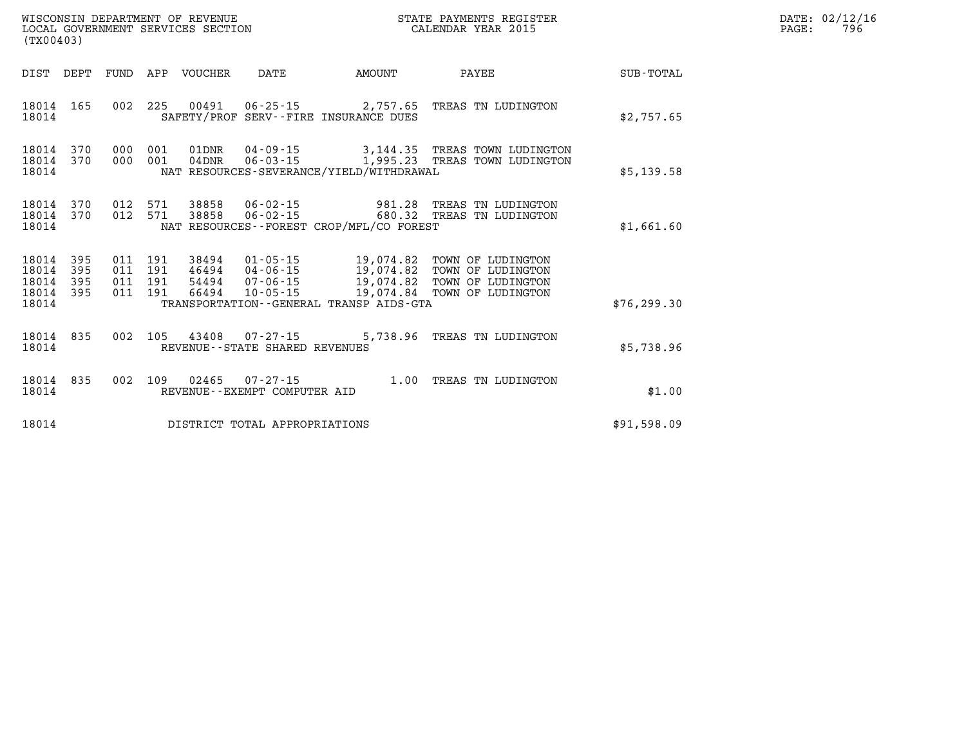|                                           | WISCONSIN DEPARTMENT OF REVENUE<br>LOCAL GOVERNMENT SERVICES SECTION<br>(TX00403) |                          |                          |                                  |                                                                |                                                                                             |                                                                                  |                  |
|-------------------------------------------|-----------------------------------------------------------------------------------|--------------------------|--------------------------|----------------------------------|----------------------------------------------------------------|---------------------------------------------------------------------------------------------|----------------------------------------------------------------------------------|------------------|
| DIST                                      | DEPT                                                                              | FUND                     | APP                      | VOUCHER                          | DATE                                                           | AMOUNT                                                                                      | PAYEE                                                                            | <b>SUB-TOTAL</b> |
| 18014<br>18014                            | 165                                                                               | 002                      | 225                      | 00491                            | $06 - 25 - 15$<br>SAFETY/PROF SERV--FIRE INSURANCE DUES        | 2,757.65                                                                                    | TREAS TN LUDINGTON                                                               | \$2,757.65       |
| 18014<br>18014<br>18014                   | 370<br>370                                                                        | 000<br>000               | 001<br>001               | 01DNR<br>$04\mathtt{DNR}$        | 04-09-15<br>$06 - 03 - 15$                                     | 3,144.35<br>1,995.23<br>NAT RESOURCES-SEVERANCE/YIELD/WITHDRAWAL                            | TREAS TOWN LUDINGTON<br>TREAS TOWN LUDINGTON                                     | \$5,139.58       |
| 18014<br>18014<br>18014                   | 370<br>370                                                                        | 012<br>012               | 571<br>571               | 38858<br>38858                   | 06-02-15<br>$06 - 02 - 15$                                     | 981.28<br>680.32<br>NAT RESOURCES - - FOREST CROP/MFL/CO FOREST                             | TREAS TN LUDINGTON<br>TREAS TN LUDINGTON                                         | \$1,661.60       |
| 18014<br>18014<br>18014<br>18014<br>18014 | 395<br>395<br>395<br>395                                                          | 011<br>011<br>011<br>011 | 191<br>191<br>191<br>191 | 38494<br>46494<br>54494<br>66494 | $01 - 05 - 15$<br>$04 - 06 - 15$<br>07-06-15<br>$10 - 05 - 15$ | 19,074.82<br>19,074.82<br>19,074.82<br>19,074.84<br>TRANSPORTATION--GENERAL TRANSP AIDS-GTA | TOWN OF LUDINGTON<br>TOWN OF LUDINGTON<br>TOWN OF LUDINGTON<br>TOWN OF LUDINGTON | \$76, 299.30     |
| 18014<br>18014                            | 835                                                                               | 002                      | 105                      | 43408                            | 07-27-15<br>REVENUE - - STATE SHARED REVENUES                  | 5,738.96                                                                                    | TREAS TN LUDINGTON                                                               | \$5,738.96       |
| 18014<br>18014                            | 835                                                                               | 002                      | 109                      | 02465                            | $07 - 27 - 15$<br>REVENUE - - EXEMPT COMPUTER AID              | 1.00                                                                                        | TREAS TN LUDINGTON                                                               | \$1.00           |
| 18014                                     |                                                                                   |                          |                          |                                  | DISTRICT TOTAL APPROPRIATIONS                                  |                                                                                             |                                                                                  | \$91,598.09      |

**LOCAL GOVER SERVICE: 796**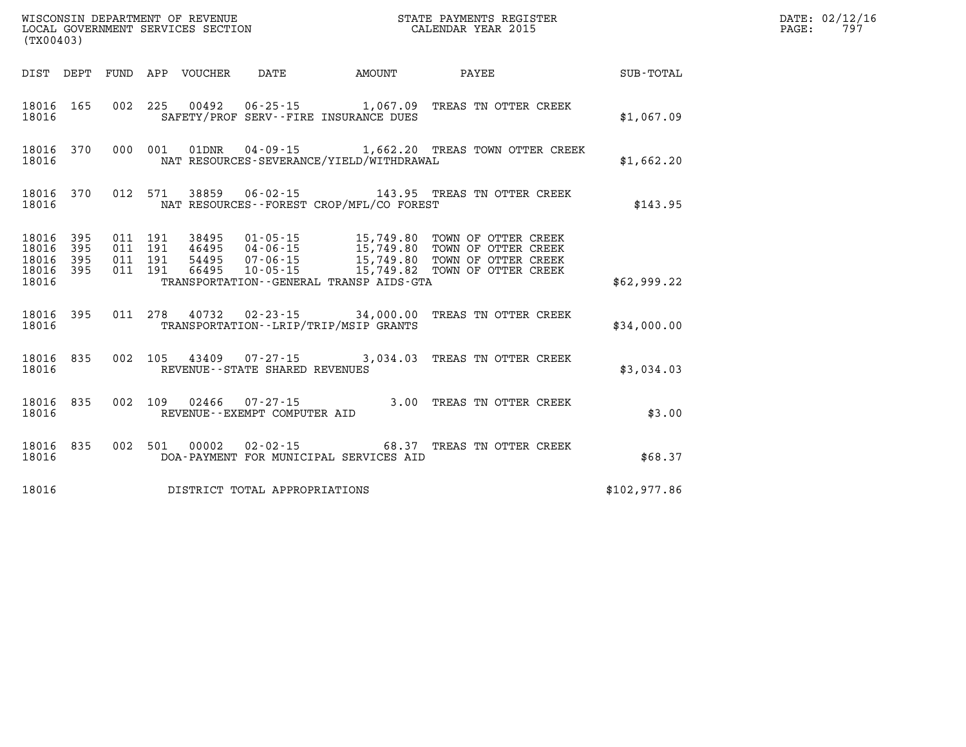| (TX00403)               |                         |                    |  | WISCONSIN DEPARTMENT OF REVENUE<br>LOCAL GOVERNMENT SERVICES SECTION |                                                | STATE PAYMENTS REGISTER<br>CALENDAR YEAR 2015                                                                                                                                                                                          |              | DATE: 02/12/16<br>PAGE: 797 |
|-------------------------|-------------------------|--------------------|--|----------------------------------------------------------------------|------------------------------------------------|----------------------------------------------------------------------------------------------------------------------------------------------------------------------------------------------------------------------------------------|--------------|-----------------------------|
|                         |                         |                    |  |                                                                      |                                                |                                                                                                                                                                                                                                        |              |                             |
| 18016                   |                         |                    |  |                                                                      | SAFETY/PROF SERV--FIRE INSURANCE DUES          | 18016  165  002  225  00492  06-25-15  1,067.09  TREAS TN OTTER CREEK                                                                                                                                                                  | \$1,067.09   |                             |
| 18016                   |                         |                    |  |                                                                      | NAT RESOURCES-SEVERANCE/YIELD/WITHDRAWAL       | 18016 370 000 001 01DNR 04-09-15 1,662.20 TREAS TOWN OTTER CREEK                                                                                                                                                                       | \$1,662.20   |                             |
| 18016                   |                         |                    |  |                                                                      | NAT RESOURCES - - FOREST CROP/MFL/CO FOREST    | 18016 370 012 571 38859 06-02-15 143.95 TREAS TN OTTER CREEK                                                                                                                                                                           | \$143.95     |                             |
| 18016<br>18016<br>18016 | 395<br>395<br>18016 395 | 011 191<br>011 191 |  |                                                                      | TRANSPORTATION - - GENERAL TRANSP AIDS - GTA   | 18016 395 011 191 38495 01-05-15 15,749.80 TOWN OF OTTER CREEK<br>011 191 46495 04-06-15 15,749.80 TOWN OF OTTER CREEK<br>011 191 54495 07-06-15 15,749.80 TOWN OF OTTER CREEK<br>011 191 66495 10-05-15 15,749.80 TOWN OF OTTER CREEK | \$62,999.22  |                             |
|                         |                         |                    |  |                                                                      | 18016 TRANSPORTATION - - LRIP/TRIP/MSIP GRANTS | 18016 395 011 278 40732 02-23-15 34,000.00 TREAS TN OTTER CREEK                                                                                                                                                                        | \$34,000.00  |                             |
| 18016                   |                         |                    |  | REVENUE--STATE SHARED REVENUES                                       |                                                | 18016 835 002 105 43409 07-27-15 3,034.03 TREAS TN OTTER CREEK                                                                                                                                                                         | \$3,034.03   |                             |
| 18016                   |                         |                    |  | REVENUE--EXEMPT COMPUTER AID                                         |                                                | 18016 835 002 109 02466 07-27-15 3.00 TREAS TN OTTER CREEK                                                                                                                                                                             | \$3.00       |                             |
| 18016                   |                         |                    |  |                                                                      | DOA-PAYMENT FOR MUNICIPAL SERVICES AID         | 18016 835 002 501 00002 02-02-15 68.37 TREAS TN OTTER CREEK                                                                                                                                                                            | \$68.37      |                             |
| 18016                   |                         |                    |  | DISTRICT TOTAL APPROPRIATIONS                                        |                                                |                                                                                                                                                                                                                                        | \$102,977.86 |                             |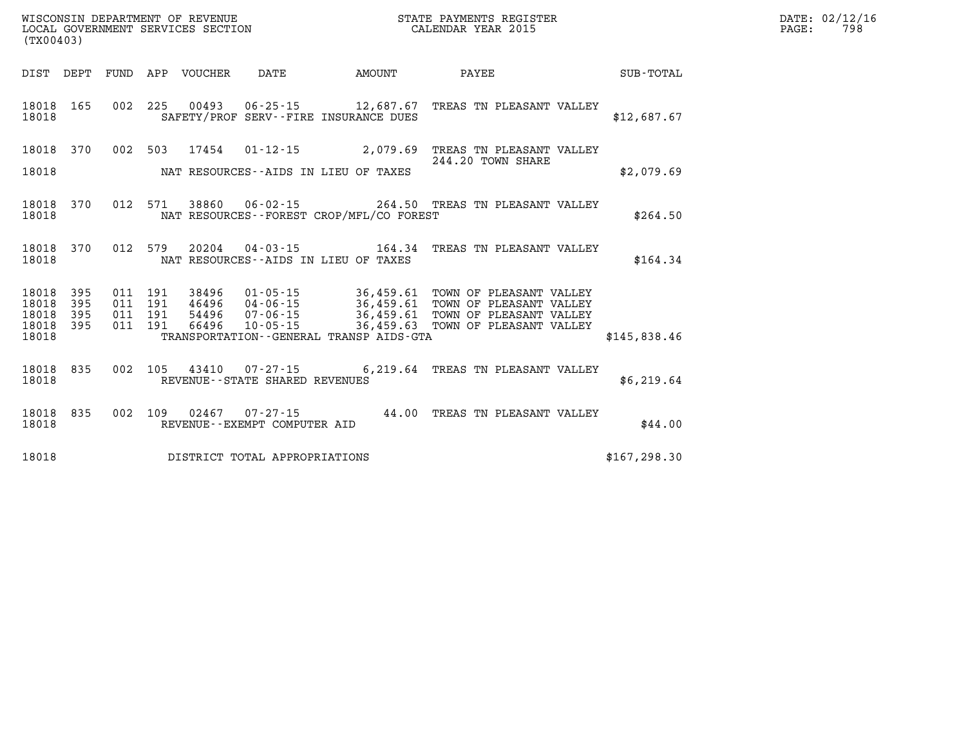| WISCONSIN DEPARTMENT OF REVENUE   | STATE PAYMENTS REGISTER | DATE: 02/12/16 |
|-----------------------------------|-------------------------|----------------|
| LOCAL GOVERNMENT SERVICES SECTION | CALENDAR YEAR 2015      | 798<br>PAGE:   |

|                                          | LOCAL GOVERNMENT SERVICES SECTION<br>(TX00403) |  |  |  |                                 |                                              | CALENDAR YEAR 2015                                                                                                                                                                                                                      |  |               | PAGE: |  | 798 |
|------------------------------------------|------------------------------------------------|--|--|--|---------------------------------|----------------------------------------------|-----------------------------------------------------------------------------------------------------------------------------------------------------------------------------------------------------------------------------------------|--|---------------|-------|--|-----|
|                                          |                                                |  |  |  |                                 |                                              |                                                                                                                                                                                                                                         |  |               |       |  |     |
| 18018                                    |                                                |  |  |  |                                 | SAFETY/PROF SERV--FIRE INSURANCE DUES        | 18018  165  002  225  00493  06-25-15  12,687.67  TREAS TN PLEASANT VALLEY                                                                                                                                                              |  | \$12,687.67   |       |  |     |
| 18018                                    |                                                |  |  |  |                                 | NAT RESOURCES--AIDS IN LIEU OF TAXES         | 18018 370 002 503 17454 01-12-15 2,079.69 TREAS TN PLEASANT VALLEY<br>244.20 TOWN SHARE                                                                                                                                                 |  | \$2.079.69    |       |  |     |
| 18018                                    |                                                |  |  |  |                                 | NAT RESOURCES--FOREST CROP/MFL/CO FOREST     | 18018 370 012 571 38860 06-02-15 264.50 TREAS TN PLEASANT VALLEY                                                                                                                                                                        |  | \$264.50      |       |  |     |
| 18018                                    |                                                |  |  |  |                                 | NAT RESOURCES--AIDS IN LIEU OF TAXES         | 18018 370 012 579 20204 04-03-15 164.34 TREAS TN PLEASANT VALLEY                                                                                                                                                                        |  | \$164.34      |       |  |     |
| 18018 395<br>18018<br>18018 395<br>18018 | 395<br>18018 395                               |  |  |  |                                 | TRANSPORTATION - - GENERAL TRANSP AIDS - GTA | 011 191 38496 01-05-15 36,459.61 TOWN OF PLEASANT VALLEY<br>011 191 46496 04-06-15 36,459.61 TOWN OF PLEASANT VALLEY<br>011 191 54496 07-06-15 36,459.61 TOWN OF PLEASANT VALLEY<br>011 191 66496 10-05-15 36,459.63 TOWN OF PLEASANT V |  | \$145.838.46  |       |  |     |
| 18018                                    |                                                |  |  |  | REVENUE--STATE SHARED REVENUES  |                                              | 18018 835 002 105 43410 07-27-15 6,219.64 TREAS TN PLEASANT VALLEY                                                                                                                                                                      |  | \$6,219.64    |       |  |     |
| 18018                                    |                                                |  |  |  | REVENUE - - EXEMPT COMPUTER AID |                                              | 18018 835 002 109 02467 07-27-15 44.00 TREAS TN PLEASANT VALLEY                                                                                                                                                                         |  | \$44.00       |       |  |     |
| 18018                                    |                                                |  |  |  | DISTRICT TOTAL APPROPRIATIONS   |                                              |                                                                                                                                                                                                                                         |  | \$167, 298.30 |       |  |     |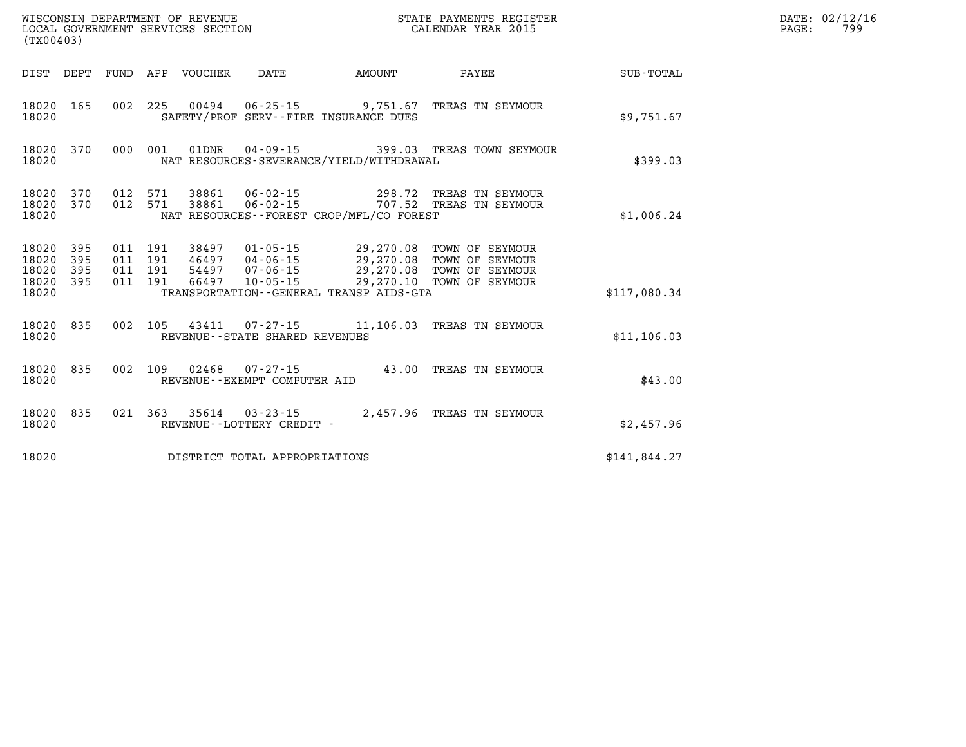| (TX00403)                                         |            |                                          |                            | WISCONSIN DEPARTMENT OF REVENUE<br>LOCAL GOVERNMENT SERVICES SECTION |        | STATE PAYMENTS REGISTER<br>CALENDAR YEAR 2015                                                                                                                                   |              | DATE: 02/12/16<br>PAGE:<br>799 |
|---------------------------------------------------|------------|------------------------------------------|----------------------------|----------------------------------------------------------------------|--------|---------------------------------------------------------------------------------------------------------------------------------------------------------------------------------|--------------|--------------------------------|
|                                                   |            |                                          | DIST DEPT FUND APP VOUCHER | DATE                                                                 | AMOUNT | PAYEE                                                                                                                                                                           | SUB-TOTAL    |                                |
| 18020 165<br>18020                                |            |                                          |                            | SAFETY/PROF SERV--FIRE INSURANCE DUES                                |        | 002 225 00494 06-25-15 9,751.67 TREAS TN SEYMOUR                                                                                                                                | \$9,751.67   |                                |
| 18020 370<br>18020                                |            | 000 001                                  | 01DNR                      | NAT RESOURCES-SEVERANCE/YIELD/WITHDRAWAL                             |        | 04-09-15 399.03 TREAS TOWN SEYMOUR                                                                                                                                              | \$399.03     |                                |
| 18020 370<br>18020 370<br>18020                   |            | 012 571<br>012 571                       | 38861<br>38861             | NAT RESOURCES--FOREST CROP/MFL/CO FOREST                             |        | 298.72 TREAS TN SEYMOUR                                                                                                                                                         | \$1,006.24   |                                |
| 18020 395<br>18020<br>18020<br>18020 395<br>18020 | 395<br>395 | 011 191<br>011 191<br>011 191<br>011 191 | 66497                      | TRANSPORTATION--GENERAL TRANSP AIDS-GTA                              |        | 38497  01-05-15  29,270.08  TOWN OF SEYMOUR<br>46497  04-06-15  29,270.08  TOWN OF SEYMOUR<br>54497  07-06-15  29,270.08  TOWN OF SEYMOUR<br>10-05-15 29,270.10 TOWN OF SEYMOUR | \$117,080.34 |                                |
| 18020 835<br>18020                                |            |                                          |                            | REVENUE - - STATE SHARED REVENUES                                    |        | 002 105 43411 07-27-15 11,106.03 TREAS TN SEYMOUR                                                                                                                               | \$11,106.03  |                                |
| 18020 835<br>18020                                |            |                                          |                            | REVENUE--EXEMPT COMPUTER AID                                         |        | 002 109 02468 07-27-15 43.00 TREAS TN SEYMOUR                                                                                                                                   | \$43.00      |                                |
| 18020 835<br>18020                                |            | 021 363                                  |                            | REVENUE - - LOTTERY CREDIT -                                         |        | 35614  03-23-15  2,457.96 TREAS TN SEYMOUR                                                                                                                                      | \$2,457.96   |                                |
| 18020                                             |            |                                          |                            | DISTRICT TOTAL APPROPRIATIONS                                        |        |                                                                                                                                                                                 | \$141,844.27 |                                |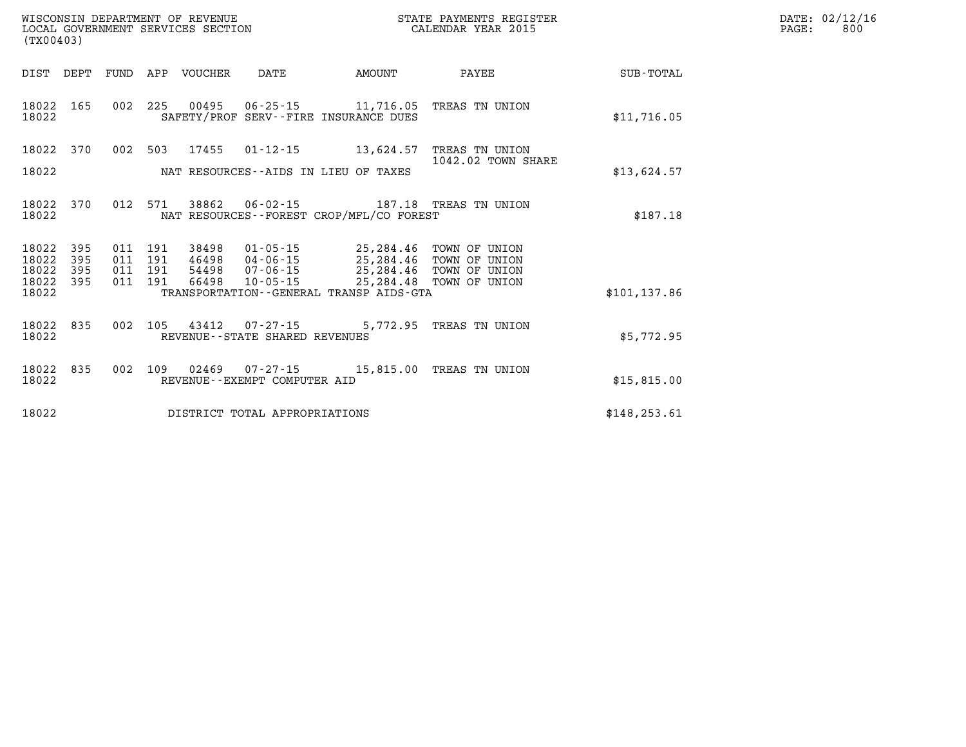| WISCONSIN DEPARTMENT OF REVENUE                               STATE PAYMENTS REGIST LOCAL GOVERNMENT SERVICES SECTION                                   CALENDAR YEAR 2015<br>(TX00403) |                            |     |         |                  |                                                          |                                                                                                                                                                                                                                                                                                                                           | STATE PAYMENTS REGISTER |               | DATE: 02/12/16<br>PAGE:<br>800 |
|-----------------------------------------------------------------------------------------------------------------------------------------------------------------------------------------|----------------------------|-----|---------|------------------|----------------------------------------------------------|-------------------------------------------------------------------------------------------------------------------------------------------------------------------------------------------------------------------------------------------------------------------------------------------------------------------------------------------|-------------------------|---------------|--------------------------------|
| DIST DEPT                                                                                                                                                                               |                            |     |         | FUND APP VOUCHER | DATE                                                     | <b>EXAMPLE TO AMOUNT</b>                                                                                                                                                                                                                                                                                                                  | PAYEE                   | SUB-TOTAL     |                                |
| 18022 165<br>18022                                                                                                                                                                      |                            |     |         |                  |                                                          | 002 225 00495 06-25-15 11,716.05 TREAS TN UNION<br>SAFETY/PROF SERV--FIRE INSURANCE DUES                                                                                                                                                                                                                                                  |                         | \$11,716.05   |                                |
| 18022 370                                                                                                                                                                               |                            |     |         |                  |                                                          | 002 503 17455 01-12-15 13,624.57 TREAS TN UNION                                                                                                                                                                                                                                                                                           | 1042.02 TOWN SHARE      |               |                                |
| 18022                                                                                                                                                                                   |                            |     |         |                  |                                                          | NAT RESOURCES -- AIDS IN LIEU OF TAXES                                                                                                                                                                                                                                                                                                    |                         | \$13,624.57   |                                |
| 18022 370<br>18022                                                                                                                                                                      |                            |     | 012 571 | 38862            |                                                          | 06-02-15 187.18 TREAS TN UNION<br>NAT RESOURCES--FOREST CROP/MFL/CO FOREST                                                                                                                                                                                                                                                                |                         | \$187.18      |                                |
| 18022<br>18022<br>18022<br>18022                                                                                                                                                        | - 395<br>395<br>395<br>395 |     |         |                  | 011 191 54498 07-06-15                                   | $\begin{array}{cccc} 011 & 191 & 38498 & 01\cdot 05\cdot 15 & 25\, , 284\, .46 & \text{TOWN OF UNION} \\ 011 & 191 & 46498 & 04\cdot 06\cdot 15 & 25\, , 284\, .46 & \text{TOWN OF UNION} \\ 011 & 191 & 54498 & 07\cdot 06\cdot 15 & 25\, , 284\, .46 & \text{TOWN OF UNION} \\ 011 & 191 & 66498 & 10\cdot 05\cdot 15 & 25\, , 284\, .$ |                         |               |                                |
| 18022                                                                                                                                                                                   |                            |     |         |                  |                                                          | TRANSPORTATION--GENERAL TRANSP AIDS-GTA                                                                                                                                                                                                                                                                                                   |                         | \$101, 137.86 |                                |
| 18022 835<br>18022                                                                                                                                                                      |                            |     |         |                  | 002 105 43412 07-27-15<br>REVENUE--STATE SHARED REVENUES |                                                                                                                                                                                                                                                                                                                                           | 5,772.95 TREAS TN UNION | \$5,772.95    |                                |
| 18022 835<br>18022                                                                                                                                                                      |                            | 002 |         |                  | 109  02469  07-27-15<br>REVENUE--EXEMPT COMPUTER AID     | 15,815.00 TREAS TN UNION                                                                                                                                                                                                                                                                                                                  |                         | \$15,815.00   |                                |
| 18022                                                                                                                                                                                   |                            |     |         |                  | DISTRICT TOTAL APPROPRIATIONS                            |                                                                                                                                                                                                                                                                                                                                           |                         | \$148, 253.61 |                                |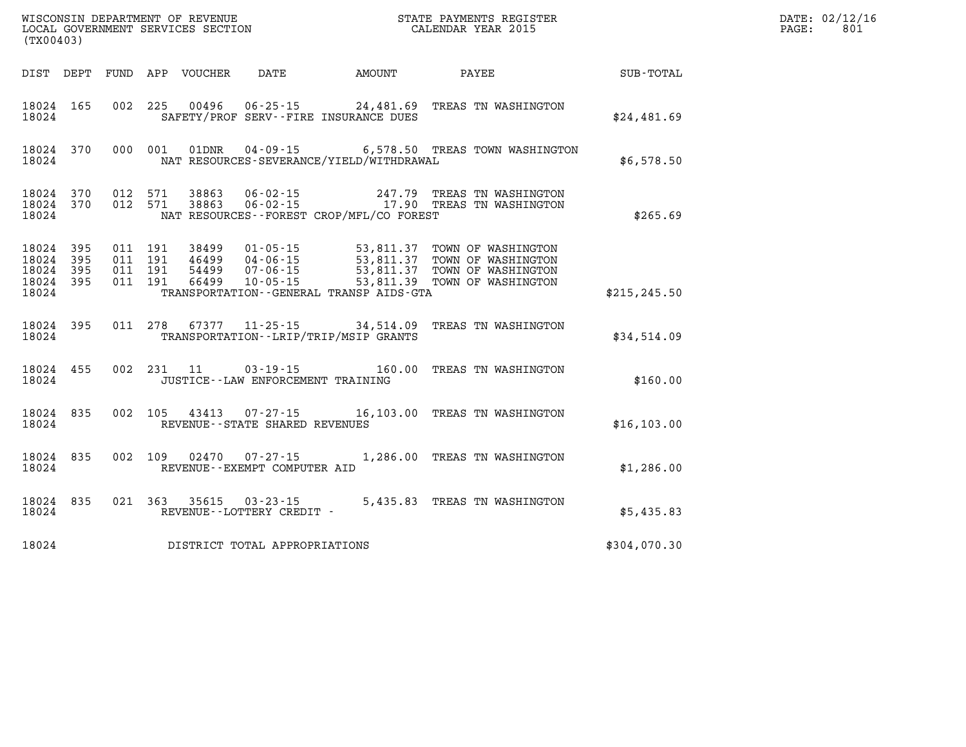| (TX00403)                                 |                          |                                          |            |                            |                                                     |                                             |                                                                                                                                                                                               |               | DATE: 02/12/16<br>801<br>PAGE: |
|-------------------------------------------|--------------------------|------------------------------------------|------------|----------------------------|-----------------------------------------------------|---------------------------------------------|-----------------------------------------------------------------------------------------------------------------------------------------------------------------------------------------------|---------------|--------------------------------|
|                                           |                          |                                          |            | DIST DEPT FUND APP VOUCHER | DATE                                                | AMOUNT                                      | PAYEE                                                                                                                                                                                         | SUB-TOTAL     |                                |
| 18024 165<br>18024                        |                          |                                          |            |                            |                                                     | SAFETY/PROF SERV--FIRE INSURANCE DUES       | 002 225 00496 06-25-15 24,481.69 TREAS TN WASHINGTON                                                                                                                                          | \$24,481.69   |                                |
| 18024                                     | 18024 370                | 000 001                                  |            | 01DNR                      |                                                     | NAT RESOURCES-SEVERANCE/YIELD/WITHDRAWAL    | 04-09-15 6,578.50 TREAS TOWN WASHINGTON                                                                                                                                                       | \$6,578.50    |                                |
| 18024 370<br>18024                        |                          | 18024 370 012 571<br>012 571             |            |                            |                                                     | NAT RESOURCES - - FOREST CROP/MFL/CO FOREST | 38863  06-02-15  247.79  TREAS TN WASHINGTON<br>38863  06-02-15  17.90  TREAS TN WASHINGTON                                                                                                   | \$265.69      |                                |
| 18024<br>18024<br>18024<br>18024<br>18024 | 395<br>395<br>395<br>395 | 011 191<br>011 191<br>011 191<br>011 191 |            | 38499<br>46499             | 04-06-15<br>66499 10-05-15                          | TRANSPORTATION--GENERAL TRANSP AIDS-GTA     | 01-05-15 53,811.37 TOWN OF WASHINGTON<br>04-06-15 53,811.37 TOWN OF WASHINGTON<br>53,811.37 TOWN OF WASHINGTON<br>54499 07-06-15 53,811.37 TOWN OF WASHINGTON<br>53,811.39 TOWN OF WASHINGTON | \$215, 245.50 |                                |
| 18024 395<br>18024                        |                          |                                          |            |                            |                                                     | TRANSPORTATION--LRIP/TRIP/MSIP GRANTS       | 011 278 67377 11-25-15 34,514.09 TREAS TN WASHINGTON                                                                                                                                          | \$34,514.09   |                                |
| 18024 455<br>18024                        |                          |                                          | 002 231 11 |                            | 03-19-15<br>JUSTICE - - LAW ENFORCEMENT TRAINING    |                                             | 160.00 TREAS TN WASHINGTON                                                                                                                                                                    | \$160.00      |                                |
| 18024 835<br>18024                        |                          |                                          |            |                            | REVENUE - - STATE SHARED REVENUES                   |                                             | 002 105 43413 07-27-15 16,103.00 TREAS TN WASHINGTON                                                                                                                                          | \$16, 103.00  |                                |
| 18024 835<br>18024                        |                          | 002 109                                  |            | 02470                      | 07-27-15<br>REVENUE--EXEMPT COMPUTER AID            |                                             | 1,286.00 TREAS TN WASHINGTON                                                                                                                                                                  | \$1,286.00    |                                |
| 18024 835<br>18024                        |                          |                                          |            |                            | 021 363 35615 03-23-15<br>REVENUE--LOTTERY CREDIT - |                                             | 5,435.83 TREAS TN WASHINGTON                                                                                                                                                                  | \$5,435.83    |                                |
| 18024                                     |                          |                                          |            |                            | DISTRICT TOTAL APPROPRIATIONS                       |                                             |                                                                                                                                                                                               | \$304,070.30  |                                |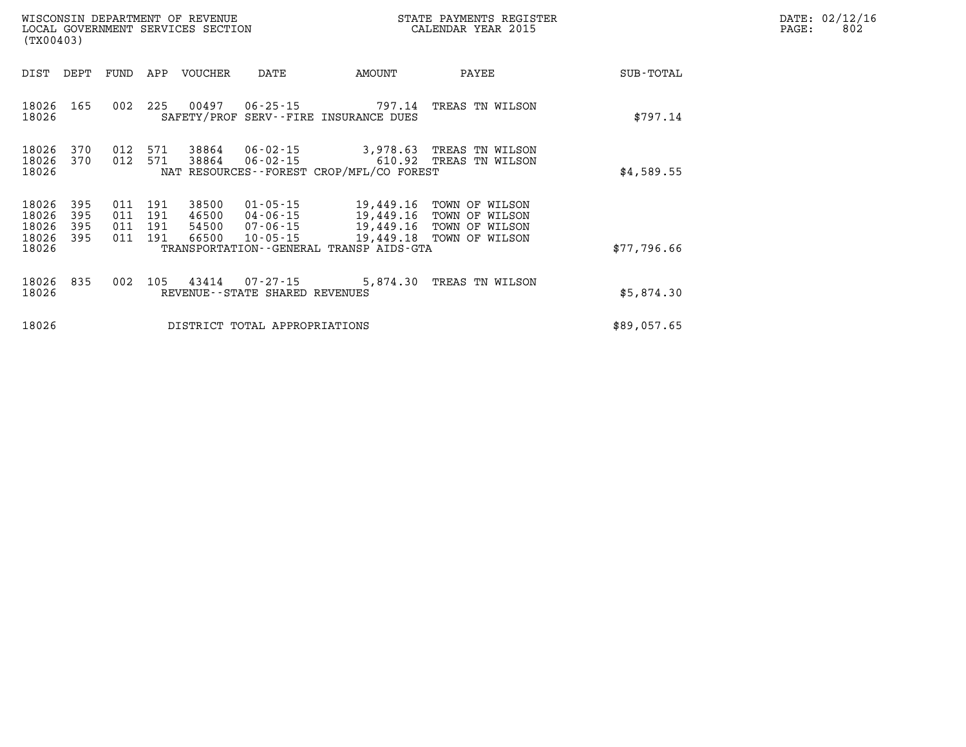| DATE: | 02/12/16 |
|-------|----------|
| PAGE: | 802      |

| WISCONSIN DEPARTMENT OF REVENUE<br>LOCAL GOVERNMENT SERVICES SECTION<br>(TX00403) |                          |                |                           |                                  |                                                          |                                                                                                 | STATE PAYMENTS REGISTER<br>CALENDAR YEAR 2015                                 |             | DATE: 02/12/1<br>PAGE:<br>802 |
|-----------------------------------------------------------------------------------|--------------------------|----------------|---------------------------|----------------------------------|----------------------------------------------------------|-------------------------------------------------------------------------------------------------|-------------------------------------------------------------------------------|-------------|-------------------------------|
| DIST                                                                              | DEPT                     | FUND           | APP                       | VOUCHER                          | DATE                                                     | AMOUNT                                                                                          | PAYEE                                                                         | SUB-TOTAL   |                               |
| 18026<br>18026                                                                    | 165                      |                | 002 225                   |                                  |                                                          | SAFETY/PROF SERV--FIRE INSURANCE DUES                                                           | 00497  06-25-15  797.14 TREAS TN WILSON                                       | \$797.14    |                               |
| 18026<br>18026<br>18026                                                           | 370<br>370               | 012<br>012     | 571<br>571                | 38864                            |                                                          | NAT RESOURCES--FOREST CROP/MFL/CO FOREST                                                        | 38864  06-02-15  3,978.63  TREAS TN WILSON<br>06-02-15 610.92 TREAS TN WILSON | \$4,589.55  |                               |
| 18026<br>18026<br>18026<br>18026<br>18026                                         | 395<br>395<br>395<br>395 | 011 191<br>011 | 011 191<br>011 191<br>191 | 38500<br>46500<br>54500<br>66500 | $01 - 05 - 15$<br>04-06-15<br>07-06-15<br>$10 - 05 - 15$ | 19,449.16 TOWN OF WILSON<br>19,449.18 TOWN OF WILSON<br>TRANSPORTATION--GENERAL TRANSP AIDS-GTA | 19,449.16 TOWN OF WILSON<br>19,449.16 TOWN OF WILSON                          | \$77,796.66 |                               |
| 18026<br>18026                                                                    | 835                      | 002            |                           |                                  | REVENUE--STATE SHARED REVENUES                           |                                                                                                 | 105  43414  07-27-15  5,874.30  TREAS TN WILSON                               | \$5,874.30  |                               |
| 18026                                                                             |                          |                |                           |                                  | DISTRICT TOTAL APPROPRIATIONS                            |                                                                                                 |                                                                               | \$89,057.65 |                               |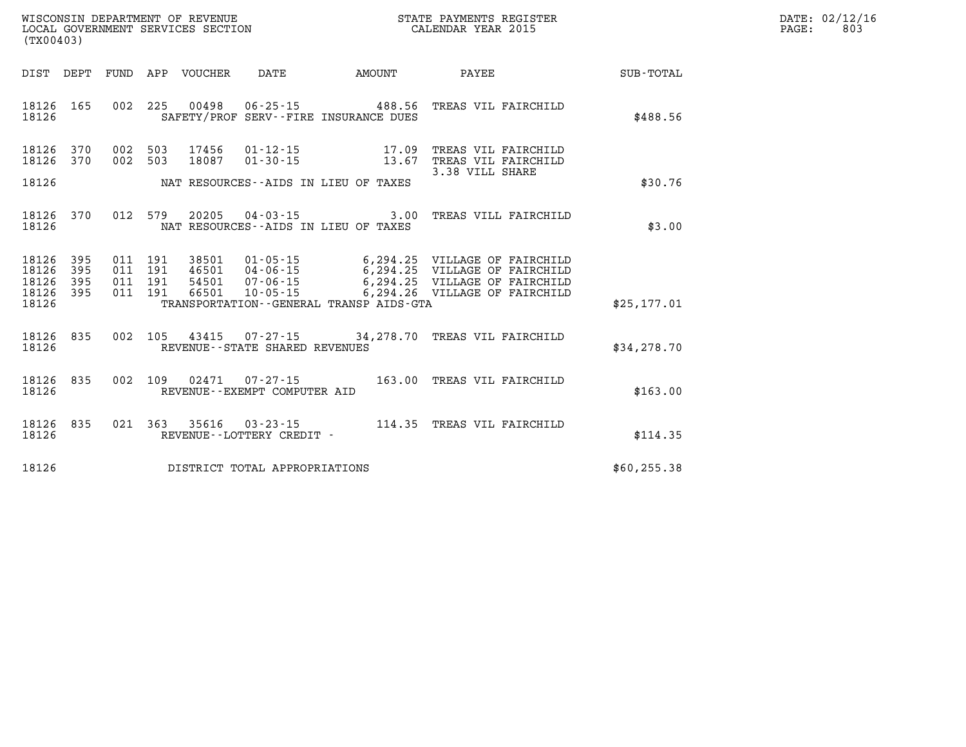| DATE: | 02/12/16 |
|-------|----------|
| PAGE: | 803      |

| WISCONSIN DEPARTMENT OF REVENUE<br>LOCAL GOVERNMENT SERVICES SECTION<br>(TX00403) |                          |                          |                          |                                  |                                                                | STATE PAYMENTS REGISTER<br>CALENDAR YEAR 2015   |                                                                                                                |                  |  |
|-----------------------------------------------------------------------------------|--------------------------|--------------------------|--------------------------|----------------------------------|----------------------------------------------------------------|-------------------------------------------------|----------------------------------------------------------------------------------------------------------------|------------------|--|
| DIST                                                                              | DEPT                     | FUND                     | APP                      | VOUCHER                          | <b>DATE</b>                                                    | AMOUNT                                          | PAYEE                                                                                                          | <b>SUB-TOTAL</b> |  |
| 18126<br>18126                                                                    | 165                      | 002                      | 225                      | 00498                            | $06 - 25 - 15$                                                 | 488.56<br>SAFETY/PROF SERV--FIRE INSURANCE DUES | TREAS VIL FAIRCHILD                                                                                            | \$488.56         |  |
| 18126<br>18126                                                                    | 370<br>370               | 002<br>002               | 503<br>503               | 17456<br>18087                   | $01 - 12 - 15$<br>$01 - 30 - 15$                               | 17.09<br>13.67                                  | TREAS VIL FAIRCHILD<br>TREAS VIL FAIRCHILD<br>3.38 VILL SHARE                                                  |                  |  |
| 18126                                                                             |                          |                          |                          |                                  |                                                                | NAT RESOURCES -- AIDS IN LIEU OF TAXES          |                                                                                                                | \$30.76          |  |
| 18126<br>18126                                                                    | 370                      | 012                      | 579                      | 20205                            | $04 - 03 - 15$                                                 | 3.00<br>NAT RESOURCES--AIDS IN LIEU OF TAXES    | TREAS VILL FAIRCHILD                                                                                           | \$3.00           |  |
| 18126<br>18126<br>18126<br>18126                                                  | 395<br>395<br>395<br>395 | 011<br>011<br>011<br>011 | 191<br>191<br>191<br>191 | 38501<br>46501<br>54501<br>66501 | $01 - 05 - 15$<br>04-06-15<br>$07 - 06 - 15$<br>$10 - 05 - 15$ | 6,294.25<br>6,294.26                            | 6,294.25 VILLAGE OF FAIRCHILD<br>VILLAGE OF FAIRCHILD<br>6,294.25 VILLAGE OF FAIRCHILD<br>VILLAGE OF FAIRCHILD |                  |  |
| 18126                                                                             |                          |                          |                          |                                  |                                                                | TRANSPORTATION--GENERAL TRANSP AIDS-GTA         |                                                                                                                | \$25, 177.01     |  |
| 18126<br>18126                                                                    | 835                      | 002                      | 105                      | 43415                            | $07 - 27 - 15$<br>REVENUE - - STATE SHARED REVENUES            |                                                 | 34,278.70 TREAS VIL FAIRCHILD                                                                                  | \$34,278.70      |  |
| 18126<br>18126                                                                    | 835                      | 002                      | 109                      | 02471                            | $07 - 27 - 15$<br>REVENUE--EXEMPT COMPUTER AID                 | 163.00                                          | TREAS VIL FAIRCHILD                                                                                            | \$163.00         |  |
| 18126<br>18126                                                                    | 835                      | 021                      | 363                      | 35616                            | $03 - 23 - 15$<br>REVENUE - - LOTTERY CREDIT -                 |                                                 | 114.35 TREAS VIL FAIRCHILD                                                                                     | \$114.35         |  |
| 18126                                                                             |                          |                          |                          |                                  | DISTRICT TOTAL APPROPRIATIONS                                  |                                                 |                                                                                                                | \$60, 255.38     |  |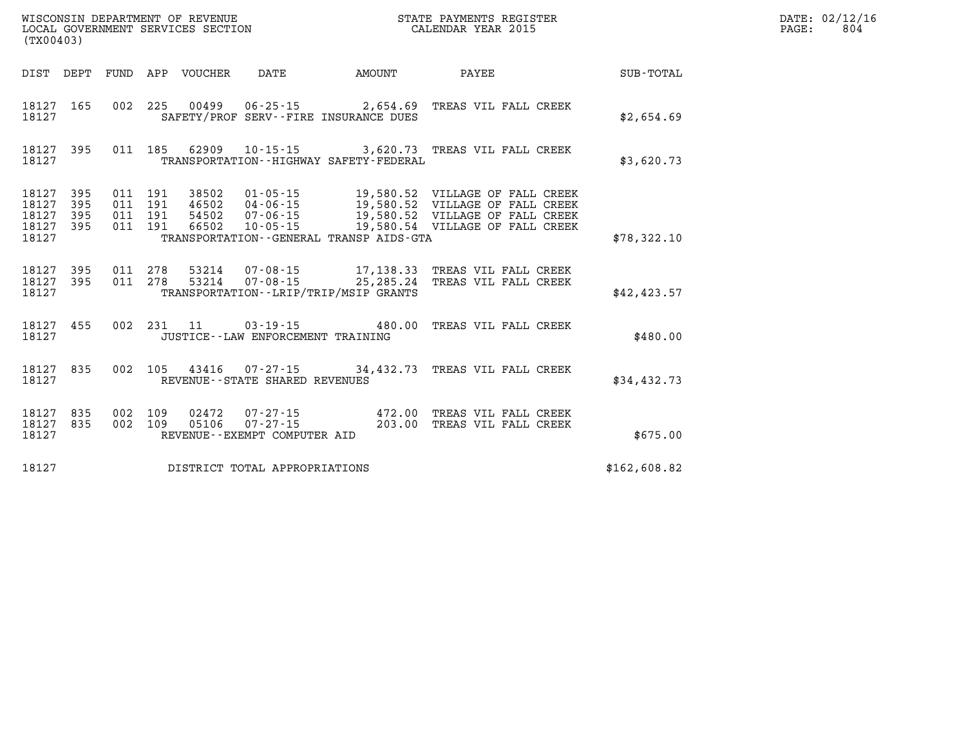| LOCAL GOVERNMENT SERVICES SECTION<br>(TX00403) |                        |  |         |                            | CALENDAR YEAR 2015                             |                                                                                                                                                                                                                                                                                                                                                                                    | PAGE:                       | 804          |  |  |
|------------------------------------------------|------------------------|--|---------|----------------------------|------------------------------------------------|------------------------------------------------------------------------------------------------------------------------------------------------------------------------------------------------------------------------------------------------------------------------------------------------------------------------------------------------------------------------------------|-----------------------------|--------------|--|--|
|                                                |                        |  |         | DIST DEPT FUND APP VOUCHER | DATE                                           | AMOUNT                                                                                                                                                                                                                                                                                                                                                                             | PAYEE                       | SUB-TOTAL    |  |  |
| 18127                                          | 18127 165              |  |         |                            |                                                | 002 225 00499 06-25-15 2,654.69 TREAS VIL FALL CREEK<br>SAFETY/PROF SERV--FIRE INSURANCE DUES                                                                                                                                                                                                                                                                                      |                             | \$2,654.69   |  |  |
| 18127                                          | 18127 395              |  |         |                            |                                                | 011 185 62909 10-15-15 3,620.73 TREAS VIL FALL CREEK<br>TRANSPORTATION - - HIGHWAY SAFETY - FEDERAL                                                                                                                                                                                                                                                                                |                             | \$3,620.73   |  |  |
| 18127<br>18127<br>18127<br>18127 395<br>18127  | 395<br>395<br>395      |  |         |                            |                                                | $\begin{array}{cccc} 011 & 191 & 38502 & 01\cdot 05\cdot 15 & 19\, 580\, 52 & \text{VILLAGE OF FALL CREEK} \\ 011 & 191 & 46502 & 04\cdot 06\cdot 15 & 19\, 580\, 52 & \text{VILLAGE OF FALL CREEK} \\ 011 & 191 & 54502 & 07\cdot 06\cdot 15 & 19\, 580\, 52 & \text{VILLAGE OF FALL CREEK} \\ 011 & 191 & 66502 & 10\cdot 05\cdot 15$<br>TRANSPORTATION--GENERAL TRANSP AIDS-GTA |                             | \$78,322.10  |  |  |
| 18127                                          | 18127 395<br>18127 395 |  |         |                            |                                                | 011  278  53214  07-08-15  17,138.33  TREAS  VIL FALL CREEK<br>011  278  53214  07-08-15  25,285.24  TREAS  VIL FALL CREEK<br>TRANSPORTATION - - LRIP/TRIP/MSIP GRANTS                                                                                                                                                                                                             |                             | \$42,423.57  |  |  |
| 18127                                          | 18127 455              |  |         |                            |                                                | 002 231 11 03-19-15 480.00 TREAS VIL FALL CREEK<br>JUSTICE - - LAW ENFORCEMENT TRAINING                                                                                                                                                                                                                                                                                            |                             | \$480.00     |  |  |
| 18127 835<br>18127                             |                        |  |         |                            | REVENUE--STATE SHARED REVENUES                 | 002  105  43416  07-27-15  34,432.73  TREAS VIL FALL CREEK                                                                                                                                                                                                                                                                                                                         |                             | \$34,432.73  |  |  |
| 18127 835<br>18127 835<br>18127                |                        |  | 002 109 | 05106                      | $07 - 27 - 15$<br>REVENUE--EXEMPT COMPUTER AID | 002 109 02472 07-27-15 472.00 TREAS VIL FALL CREEK                                                                                                                                                                                                                                                                                                                                 | 203.00 TREAS VIL FALL CREEK | \$675.00     |  |  |
| 18127                                          |                        |  |         |                            | DISTRICT TOTAL APPROPRIATIONS                  |                                                                                                                                                                                                                                                                                                                                                                                    |                             | \$162,608.82 |  |  |

**WISCONSIN DEPARTMENT OF REVENUE STATE PAYMENTS REGISTER DATE: 02/12/16**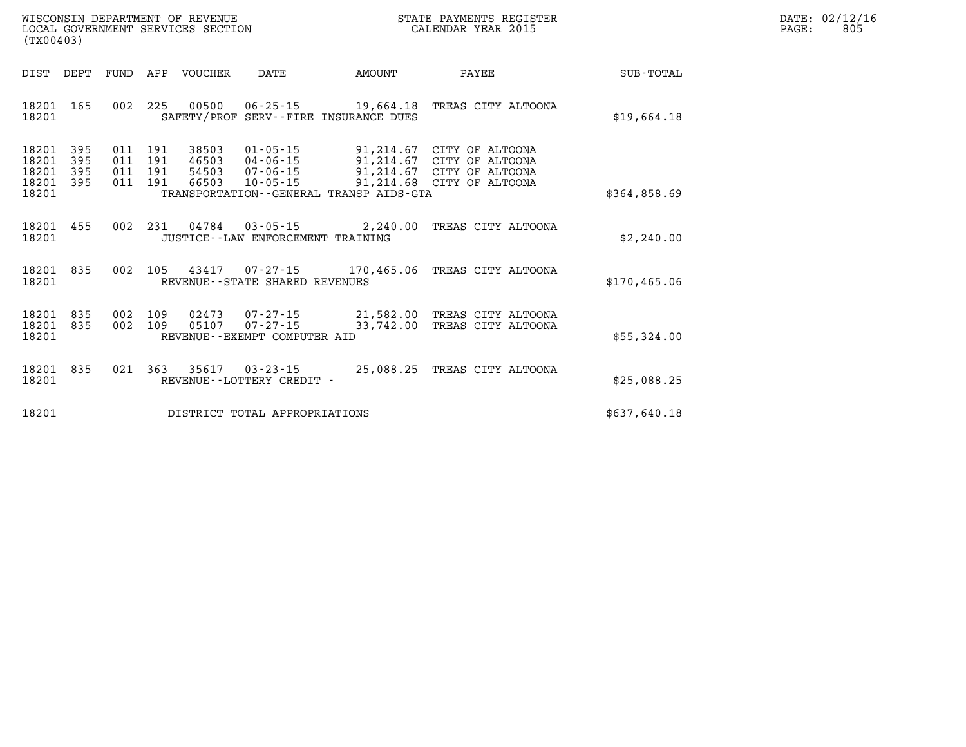| WISCONSIN DEPARTMENT OF REVENUE   | STATE PAYMENTS REGISTER |        | DATE: 02/12/16 |
|-----------------------------------|-------------------------|--------|----------------|
| LOCAL GOVERNMENT SERVICES SECTION | CALENDAR YEAR 2015      | PAGE : | 805            |

| (TX00403)                                 |                          |                          |                          |                                  |                                                                      |                                                                   |                                                                                              |                  |
|-------------------------------------------|--------------------------|--------------------------|--------------------------|----------------------------------|----------------------------------------------------------------------|-------------------------------------------------------------------|----------------------------------------------------------------------------------------------|------------------|
| DIST                                      | DEPT                     | FUND                     | APP                      | VOUCHER                          | DATE                                                                 | AMOUNT                                                            | PAYEE                                                                                        | <b>SUB-TOTAL</b> |
| 18201<br>18201                            | 165                      | 002                      | 225                      | 00500                            |                                                                      | $06 - 25 - 15$ 19,664.18<br>SAFETY/PROF SERV--FIRE INSURANCE DUES | TREAS CITY ALTOONA                                                                           | \$19,664.18      |
| 18201<br>18201<br>18201<br>18201<br>18201 | 395<br>395<br>395<br>395 | 011<br>011<br>011<br>011 | 191<br>191<br>191<br>191 | 38503<br>46503<br>54503<br>66503 | $01 - 05 - 15$<br>$04 - 06 - 15$<br>$07 - 06 - 15$<br>$10 - 05 - 15$ | 91,214.67<br>91,214.68<br>TRANSPORTATION--GENERAL TRANSP AIDS-GTA | 91,214.67 CITY OF ALTOONA<br>CITY OF ALTOONA<br>91,214.67 CITY OF ALTOONA<br>CITY OF ALTOONA | \$364,858.69     |
| 18201<br>18201                            | 455                      | 002                      | 231                      | 04784                            | JUSTICE - - LAW ENFORCEMENT TRAINING                                 | $03 - 05 - 15$ 2, 240.00                                          | TREAS CITY ALTOONA                                                                           | \$2,240.00       |
| 18201<br>18201                            | 835                      | 002                      | 105                      | 43417                            | REVENUE - - STATE SHARED REVENUES                                    | $07 - 27 - 15$ 170,465.06                                         | TREAS CITY ALTOONA                                                                           | \$170,465.06     |
| 18201<br>18201<br>18201                   | 835<br>835               | 002<br>002               | 109<br>109               | 02473<br>05107                   | 07-27-15<br>$07 - 27 - 15$<br>REVENUE - - EXEMPT COMPUTER AID        | 21,582.00<br>33,742.00                                            | TREAS CITY ALTOONA<br>TREAS CITY ALTOONA                                                     | \$55,324.00      |
| 18201<br>18201                            | 835                      | 021                      | 363                      | 35617                            | $03 - 23 - 15$<br>REVENUE - - LOTTERY CREDIT -                       | 25,088.25                                                         | TREAS CITY ALTOONA                                                                           | \$25,088.25      |
| 18201                                     |                          |                          |                          |                                  | DISTRICT TOTAL APPROPRIATIONS                                        |                                                                   |                                                                                              | \$637,640.18     |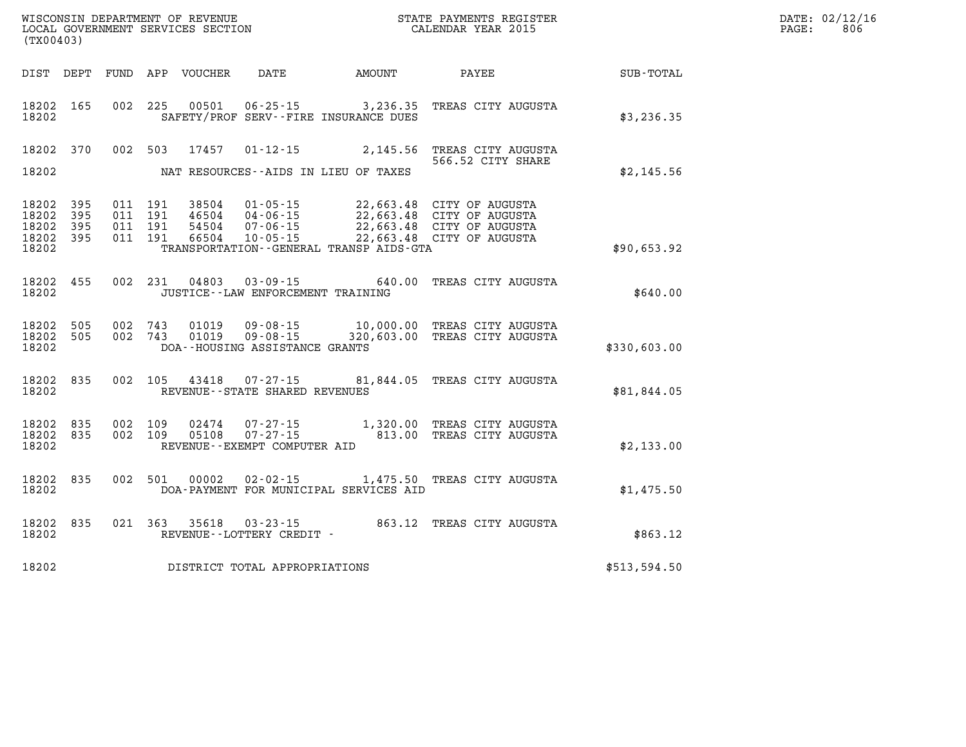| DATE: | 02/12/16 |
|-------|----------|
| PAGE: | 806      |

| WISCONSIN DEPARTMENT OF REVENUE<br>LOCAL GOVERNMENT SERVICES SECTION<br>(TX00403) |                          |                          |                          |                                  |                                                                      | STATE PAYMENTS REGISTER<br>CALENDAR YEAR 2015                                                    |                                                                          |              |
|-----------------------------------------------------------------------------------|--------------------------|--------------------------|--------------------------|----------------------------------|----------------------------------------------------------------------|--------------------------------------------------------------------------------------------------|--------------------------------------------------------------------------|--------------|
| DIST                                                                              | DEPT                     | FUND                     | APP                      | <b>VOUCHER</b>                   | DATE                                                                 | AMOUNT                                                                                           | PAYEE                                                                    | SUB-TOTAL    |
| 18202<br>18202                                                                    | 165                      | 002                      | 225                      | 00501                            | $06 - 25 - 15$                                                       | 3,236.35<br>SAFETY/PROF SERV--FIRE INSURANCE DUES                                                | TREAS CITY AUGUSTA                                                       | \$3,236.35   |
| 18202                                                                             | 370                      | 002                      | 503                      | 17457                            | $01 - 12 - 15$                                                       | 2,145.56                                                                                         | TREAS CITY AUGUSTA<br>566.52 CITY SHARE                                  |              |
| 18202                                                                             |                          |                          |                          |                                  |                                                                      | NAT RESOURCES--AIDS IN LIEU OF TAXES                                                             |                                                                          | \$2,145.56   |
| 18202<br>18202<br>18202<br>18202<br>18202                                         | 395<br>395<br>395<br>395 | 011<br>011<br>011<br>011 | 191<br>191<br>191<br>191 | 38504<br>46504<br>54504<br>66504 | $01 - 05 - 15$<br>$04 - 06 - 15$<br>$07 - 06 - 15$<br>$10 - 05 - 15$ | 22,663.48<br>22,663.48<br>22,663.48<br>22,663.48<br>TRANSPORTATION - - GENERAL TRANSP AIDS - GTA | CITY OF AUGUSTA<br>CITY OF AUGUSTA<br>CITY OF AUGUSTA<br>CITY OF AUGUSTA | \$90,653.92  |
|                                                                                   |                          |                          |                          |                                  |                                                                      |                                                                                                  |                                                                          |              |
| 18202<br>18202                                                                    | 455                      | 002                      | 231                      | 04803                            | $03 - 09 - 15$<br>JUSTICE - - LAW ENFORCEMENT TRAINING               | 640.00                                                                                           | TREAS CITY AUGUSTA                                                       | \$640.00     |
| 18202<br>18202<br>18202                                                           | 505<br>505               | 002<br>002               | 743<br>743               | 01019<br>01019                   | $09 - 08 - 15$<br>$09 - 08 - 15$<br>DOA--HOUSING ASSISTANCE GRANTS   | 10,000.00<br>320,603.00                                                                          | TREAS CITY AUGUSTA<br>TREAS CITY AUGUSTA                                 | \$330,603.00 |
| 18202<br>18202                                                                    | 835                      | 002                      | 105                      | 43418                            | $07 - 27 - 15$<br>REVENUE - - STATE SHARED REVENUES                  |                                                                                                  | 81,844.05 TREAS CITY AUGUSTA                                             | \$81,844.05  |
| 18202<br>18202<br>18202                                                           | 835<br>835               | 002<br>002               | 109<br>109               | 02474<br>05108                   | $07 - 27 - 15$<br>$07 - 27 - 15$<br>REVENUE--EXEMPT COMPUTER AID     | 1,320.00<br>813.00                                                                               | TREAS CITY AUGUSTA<br>TREAS CITY AUGUSTA                                 | \$2,133.00   |
| 18202<br>18202                                                                    | 835                      | 002                      | 501                      | 00002                            | $02 - 02 - 15$                                                       | 1,475.50<br>DOA-PAYMENT FOR MUNICIPAL SERVICES AID                                               | TREAS CITY AUGUSTA                                                       | \$1,475.50   |
| 18202<br>18202                                                                    | 835                      | 021                      | 363                      | 35618                            | $03 - 23 - 15$<br>REVENUE--LOTTERY CREDIT -                          | 863.12                                                                                           | TREAS CITY AUGUSTA                                                       | \$863.12     |
| 18202                                                                             |                          |                          |                          |                                  | DISTRICT TOTAL APPROPRIATIONS                                        |                                                                                                  |                                                                          | \$513,594.50 |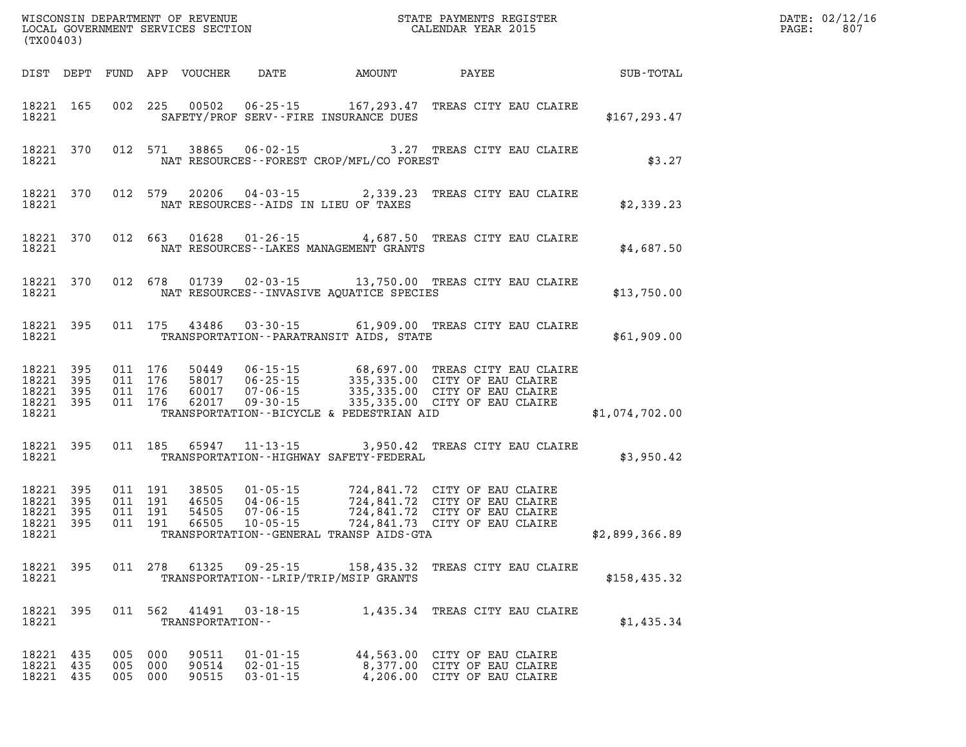| PAGE: | DATE: 02/12/16<br>807 |
|-------|-----------------------|
|       |                       |

| (TX00403)                           |                                            |     |                           |                           |                                                    |                                                                                                                                                                                                                                                                                     |                                                                                            |                | DATE: 02/12/1<br>807<br>$\mathtt{PAGE}$ : |
|-------------------------------------|--------------------------------------------|-----|---------------------------|---------------------------|----------------------------------------------------|-------------------------------------------------------------------------------------------------------------------------------------------------------------------------------------------------------------------------------------------------------------------------------------|--------------------------------------------------------------------------------------------|----------------|-------------------------------------------|
|                                     |                                            |     |                           |                           |                                                    |                                                                                                                                                                                                                                                                                     |                                                                                            |                |                                           |
| 18221                               |                                            |     |                           |                           |                                                    | 18221 165 002 225 00502 06-25-15 167,293.47 TREAS CITY EAU CLAIRE<br>SAFETY/PROF SERV--FIRE INSURANCE DUES                                                                                                                                                                          |                                                                                            | \$167, 293.47  |                                           |
| 18221                               |                                            |     |                           |                           |                                                    | 18221 370 012 571 38865 06-02-15 3.27 TREAS CITY EAU CLAIRE<br>NAT RESOURCES - - FOREST CROP/MFL/CO FOREST                                                                                                                                                                          |                                                                                            | \$3.27         |                                           |
| 18221                               |                                            |     |                           |                           |                                                    | 18221 370 012 579 20206 04-03-15 2,339.23 TREAS CITY EAU CLAIRE<br>NAT RESOURCES--AIDS IN LIEU OF TAXES                                                                                                                                                                             |                                                                                            | \$2,339.23     |                                           |
| 18221                               |                                            |     |                           |                           |                                                    | 18221 370 012 663 01628 01-26-15 4,687.50 TREAS CITY EAU CLAIRE<br>NAT RESOURCES--LAKES MANAGEMENT GRANTS                                                                                                                                                                           |                                                                                            | \$4,687.50     |                                           |
| 18221                               |                                            |     |                           |                           |                                                    | 18221 370 012 678 01739 02-03-15 13,750.00 TREAS CITY EAU CLAIRE<br>NAT RESOURCES--INVASIVE AQUATICE SPECIES                                                                                                                                                                        |                                                                                            | \$13,750.00    |                                           |
| 18221                               | 18221 395                                  |     |                           |                           |                                                    | 011 175 43486 03-30-15 61,909.00 TREAS CITY EAU CLAIRE<br>TRANSPORTATION - - PARATRANSIT AIDS, STATE                                                                                                                                                                                |                                                                                            | \$61,909.00    |                                           |
| 18221                               |                                            |     |                           |                           |                                                    | 18221 395 011 176 50449 06-15-15 68,697.00 TREAS CITY EAU CLAIRE<br>18221 395 011 176 58017 06-25-15 335,335.00 CITY OF EAU CLAIRE<br>18221 395 011 176 60017 07-06-15 335,335.00 CITY OF EAU CLAIRE<br>18221 395 011 176 62017 09-30-1<br>TRANSPORTATION--BICYCLE & PEDESTRIAN AID |                                                                                            | \$1,074,702.00 |                                           |
|                                     | 18221 395<br>18221 and the state of $\sim$ |     |                           |                           |                                                    | 011 185 65947 11-13-15 3,950.42 TREAS CITY EAU CLAIRE<br>TRANSPORTATION - - HIGHWAY SAFETY - FEDERAL                                                                                                                                                                                |                                                                                            | \$3,950.42     |                                           |
| 18221 395<br>18221 395<br>18221     | 18221 395<br>18221 395                     |     |                           |                           |                                                    | 011 191 38505 01-05-15 724,841.72 CITY OF EAU CLAIRE<br>011 191 46505 04-06-15 724,841.72 CITY OF EAU CLAIRE<br>011 191 54505 07-06-15 724,841.72 CITY OF EAU CLAIRE<br>011 191 66505 10-05-15 724,841.73 CITY OF EAU CLAIRE<br>TRANSPORTATION - - GENERAL TRANSP AIDS - GTA        |                                                                                            | \$2,899,366.89 |                                           |
| 18221 395<br>18221                  |                                            |     |                           | 011 278 61325             | 09-25-15                                           | 158,435.32 TREAS CITY EAU CLAIRE<br>TRANSPORTATION - - LRIP/TRIP/MSIP GRANTS                                                                                                                                                                                                        |                                                                                            | \$158,435.32   |                                           |
| 18221 395<br>18221                  |                                            |     | 011 562                   | 41491<br>TRANSPORTATION-- | 03-18-15                                           |                                                                                                                                                                                                                                                                                     | 1,435.34 TREAS CITY EAU CLAIRE                                                             | \$1,435.34     |                                           |
| 18221 435<br>18221 435<br>18221 435 |                                            | 005 | 005 000<br>000<br>005 000 | 90511<br>90514<br>90515   | $01 - 01 - 15$<br>$02 - 01 - 15$<br>$03 - 01 - 15$ |                                                                                                                                                                                                                                                                                     | 44,563.00 CITY OF EAU CLAIRE<br>8,377.00 CITY OF EAU CLAIRE<br>4,206.00 CITY OF EAU CLAIRE |                |                                           |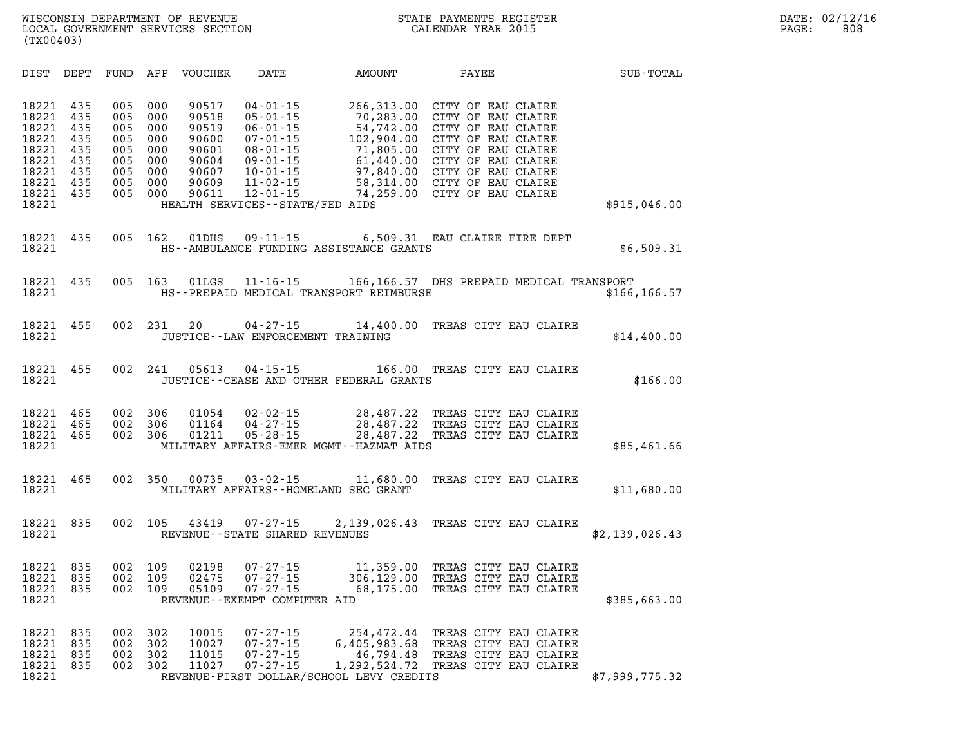| DIST                                                                                   | DEPT                                                        | FUND                                                        | APP                                                         | VOUCHER                                                                       | DATE                                                                                                                                                                                                 | AMOUNT                                                                                                              | PAYEE                                                                                                                                                                                              | SUB-TOTAL      |
|----------------------------------------------------------------------------------------|-------------------------------------------------------------|-------------------------------------------------------------|-------------------------------------------------------------|-------------------------------------------------------------------------------|------------------------------------------------------------------------------------------------------------------------------------------------------------------------------------------------------|---------------------------------------------------------------------------------------------------------------------|----------------------------------------------------------------------------------------------------------------------------------------------------------------------------------------------------|----------------|
| 18221<br>18221<br>18221<br>18221<br>18221<br>18221<br>18221<br>18221<br>18221<br>18221 | 435<br>435<br>435<br>435<br>435<br>435<br>435<br>435<br>435 | 005<br>005<br>005<br>005<br>005<br>005<br>005<br>005<br>005 | 000<br>000<br>000<br>000<br>000<br>000<br>000<br>000<br>000 | 90517<br>90518<br>90519<br>90600<br>90601<br>90604<br>90607<br>90609<br>90611 | $04 - 01 - 15$<br>$05 - 01 - 15$<br>$06 - 01 - 15$<br>$07 - 01 - 15$<br>$08 - 01 - 15$<br>$09 - 01 - 15$<br>$10 - 01 - 15$<br>$11 - 02 - 15$<br>$12 - 01 - 15$<br>HEALTH SERVICES - - STATE/FED AIDS | 266,313.00<br>70,283.00<br>54,742.00<br>102,904.00<br>71,805.00<br>61,440.00<br>97,840.00<br>58,314.00<br>74,259.00 | CITY OF EAU CLAIRE<br>CITY OF EAU CLAIRE<br>CITY OF EAU CLAIRE<br>CITY OF EAU CLAIRE<br>CITY OF EAU CLAIRE<br>CITY OF EAU CLAIRE<br>CITY OF EAU CLAIRE<br>CITY OF EAU CLAIRE<br>CITY OF EAU CLAIRE | \$915,046.00   |
| 18221<br>18221                                                                         | 435                                                         | 005                                                         | 162                                                         | 01DHS                                                                         | $09 - 11 - 15$                                                                                                                                                                                       | HS--AMBULANCE FUNDING ASSISTANCE GRANTS                                                                             | 6,509.31 EAU CLAIRE FIRE DEPT                                                                                                                                                                      | \$6,509.31     |
| 18221<br>18221                                                                         | 435                                                         | 005                                                         | 163                                                         | 01LGS                                                                         | $11 - 16 - 15$                                                                                                                                                                                       | HS--PREPAID MEDICAL TRANSPORT REIMBURSE                                                                             | 166,166.57 DHS PREPAID MEDICAL TRANSPORT                                                                                                                                                           | \$166, 166.57  |
| 18221<br>18221                                                                         | 455                                                         | 002                                                         | 231                                                         | 20                                                                            | $04 - 27 - 15$                                                                                                                                                                                       | 14,400.00<br>JUSTICE - - LAW ENFORCEMENT TRAINING                                                                   | TREAS CITY EAU CLAIRE                                                                                                                                                                              | \$14,400.00    |
| 18221<br>18221                                                                         | 455                                                         | 002                                                         | 241                                                         | 05613                                                                         | $04 - 15 - 15$                                                                                                                                                                                       | JUSTICE -- CEASE AND OTHER FEDERAL GRANTS                                                                           | 166.00 TREAS CITY EAU CLAIRE                                                                                                                                                                       | \$166.00       |
| 18221<br>18221<br>18221<br>18221                                                       | 465<br>465<br>465                                           | 002<br>002<br>002                                           | 306<br>306<br>306                                           | 01054<br>01164<br>01211                                                       | $02 - 02 - 15$<br>$04 - 27 - 15$<br>$05 - 28 - 15$                                                                                                                                                   | 28,487.22<br>28,487.22<br>28,487.22<br>MILITARY AFFAIRS-EMER MGMT--HAZMAT AIDS                                      | TREAS CITY EAU CLAIRE<br>TREAS CITY EAU CLAIRE<br>TREAS CITY EAU CLAIRE                                                                                                                            | \$85,461.66    |
| 18221<br>18221                                                                         | 465                                                         | 002                                                         | 350                                                         | 00735                                                                         | $03 - 02 - 15$                                                                                                                                                                                       | 11,680.00<br>MILITARY AFFAIRS--HOMELAND SEC GRANT                                                                   | TREAS CITY EAU CLAIRE                                                                                                                                                                              | \$11,680.00    |
| 18221<br>18221                                                                         | 835                                                         | 002                                                         | 105                                                         | 43419                                                                         | $07 - 27 - 15$<br>REVENUE - - STATE SHARED REVENUES                                                                                                                                                  |                                                                                                                     | 2,139,026.43 TREAS CITY EAU CLAIRE                                                                                                                                                                 | \$2,139,026.43 |
| 18221<br>18221<br>18221<br>18221                                                       | 835<br>835<br>835                                           | 002<br>002<br>002                                           | 109<br>109<br>109                                           | 02198<br>02475<br>05109                                                       | $07 - 27 - 15$<br>$07 - 27 - 15$<br>$07 - 27 - 15$<br>REVENUE--EXEMPT COMPUTER AID                                                                                                                   | 11,359.00<br>306,129.00<br>68,175.00                                                                                | TREAS CITY EAU CLAIRE<br>TREAS CITY EAU CLAIRE<br>TREAS CITY EAU CLAIRE                                                                                                                            | \$385,663.00   |
| 18221<br>18221<br>18221<br>18221<br>18221                                              | 835<br>835<br>835<br>835                                    | 002<br>002<br>002<br>002                                    | 302<br>302<br>302<br>302                                    | 10015<br>10027<br>11015<br>11027                                              | $07 - 27 - 15$<br>$07 - 27 - 15$<br>$07 - 27 - 15$<br>$07 - 27 - 15$                                                                                                                                 | 254,472.44<br>6,405,983.68<br>46,794.48<br>1,292,524.72<br>REVENUE-FIRST DOLLAR/SCHOOL LEVY CREDITS                 | TREAS CITY EAU CLAIRE<br>TREAS CITY EAU CLAIRE<br>TREAS CITY EAU CLAIRE<br>TREAS CITY EAU CLAIRE                                                                                                   | \$7,999,775.32 |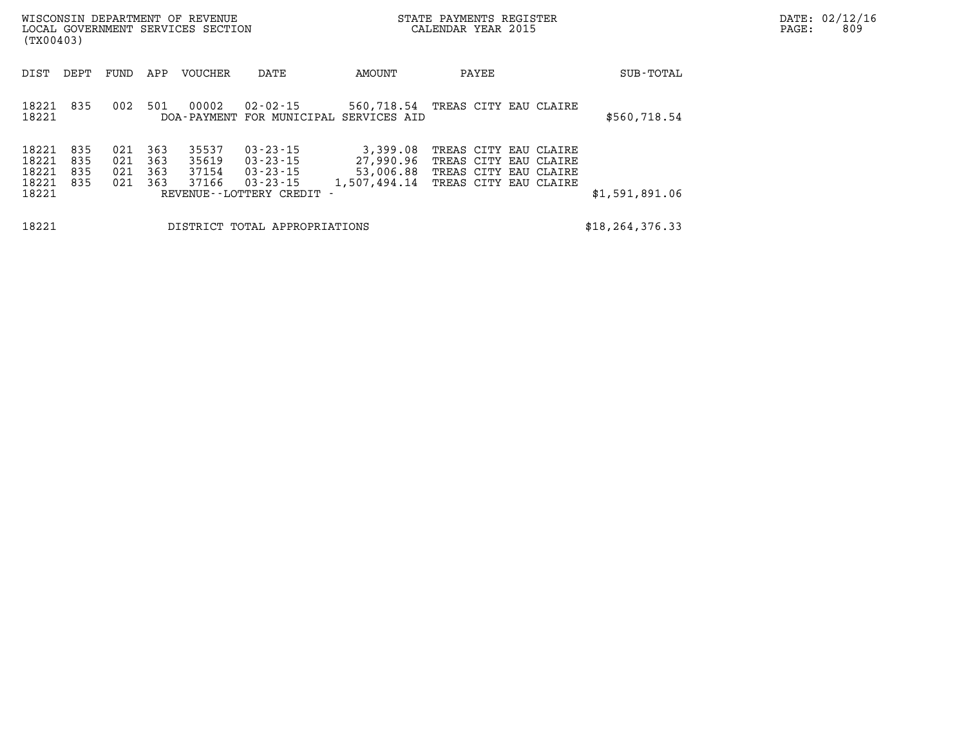| WISCONSIN DEPARTMENT OF REVENUE<br>LOCAL GOVERNMENT SERVICES SECTION<br>(TX00403) |                          |                          |                          |                                  |                                                                                                      | STATE PAYMENTS REGISTER<br>CALENDAR YEAR 2015                              |                                                                                                  |  |  |                   | DATE: 02/12/16<br>809<br>$\mathtt{PAGE:}$ |
|-----------------------------------------------------------------------------------|--------------------------|--------------------------|--------------------------|----------------------------------|------------------------------------------------------------------------------------------------------|----------------------------------------------------------------------------|--------------------------------------------------------------------------------------------------|--|--|-------------------|-------------------------------------------|
| DIST                                                                              | DEPT                     | FUND                     | APP                      | <b>VOUCHER</b>                   | DATE                                                                                                 | AMOUNT                                                                     | PAYEE                                                                                            |  |  | SUB-TOTAL         |                                           |
| 18221<br>18221                                                                    | 835                      | 002                      | 501                      | 00002                            | 02-02-15                                                                                             | 560,718.54 TREAS CITY EAU CLAIRE<br>DOA-PAYMENT FOR MUNICIPAL SERVICES AID |                                                                                                  |  |  | \$560,718.54      |                                           |
| 18221<br>18221<br>18221<br>18221<br>18221                                         | 835<br>835<br>835<br>835 | 021<br>021<br>021<br>021 | 363<br>363<br>363<br>363 | 35537<br>35619<br>37154<br>37166 | $03 - 23 - 15$<br>$03 - 23 - 15$<br>$03 - 23 - 15$<br>$03 - 23 - 15$<br>REVENUE - - LOTTERY CREDIT - | 3,399.08<br>27,990.96<br>53,006.88<br>1,507,494.14                         | TREAS CITY EAU CLAIRE<br>TREAS CITY EAU CLAIRE<br>TREAS CITY EAU CLAIRE<br>TREAS CITY EAU CLAIRE |  |  | \$1,591,891.06    |                                           |
| 18221                                                                             |                          |                          |                          |                                  | DISTRICT TOTAL APPROPRIATIONS                                                                        |                                                                            |                                                                                                  |  |  | \$18, 264, 376.33 |                                           |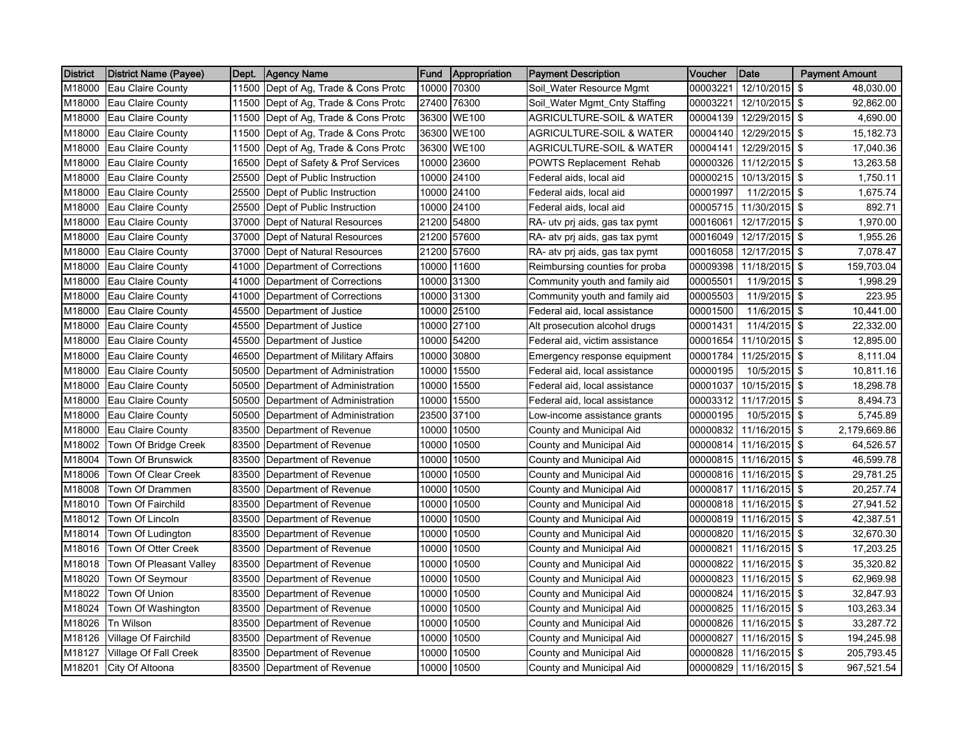| <b>District</b> | <b>District Name (Payee)</b> | Dept. | <b>Agency Name</b>             | <b>Fund</b> | Appropriation | <b>Payment Description</b>          | Voucher  | Date                   | <b>Payment Amount</b> |
|-----------------|------------------------------|-------|--------------------------------|-------------|---------------|-------------------------------------|----------|------------------------|-----------------------|
| M18000          | Eau Claire County            | 11500 | Dept of Ag, Trade & Cons Protc | 10000       | 70300         | Soil_Water Resource Mgmt            | 00003221 | 12/10/2015             | -\$<br>48,030.00      |
| M18000          | Eau Claire County            | 11500 | Dept of Ag, Trade & Cons Protc | 27400       | 76300         | Soil_Water Mgmt_Cnty Staffing       | 00003221 | 12/10/2015 \$          | 92,862.00             |
| M18000          | Eau Claire County            | 11500 | Dept of Ag, Trade & Cons Protc | 36300       | <b>WE100</b>  | <b>AGRICULTURE-SOIL &amp; WATER</b> | 00004139 | 12/29/2015 \$          | 4,690.00              |
| M18000          | Eau Claire County            | 11500 | Dept of Ag, Trade & Cons Protc | 36300       | <b>WE100</b>  | AGRICULTURE-SOIL & WATER            | 00004140 | 12/29/2015 \$          | 15,182.73             |
| M18000          | Eau Claire County            | 11500 | Dept of Ag, Trade & Cons Protc | 36300       | <b>WE100</b>  | <b>AGRICULTURE-SOIL &amp; WATER</b> | 00004141 | 12/29/2015 \$          | 17,040.36             |
| M18000          | Eau Claire County            | 16500 | Dept of Safety & Prof Services | 10000       | 23600         | POWTS Replacement Rehab             | 00000326 | 11/12/2015 \$          | 13,263.58             |
| M18000          | Eau Claire County            | 25500 | Dept of Public Instruction     | 10000       | 24100         | Federal aids, local aid             | 00000215 | 10/13/2015 \$          | 1,750.11              |
| M18000          | Eau Claire County            | 25500 | Dept of Public Instruction     | 10000       | 24100         | Federal aids, local aid             | 00001997 | 11/2/2015 \$           | 1,675.74              |
| M18000          | Eau Claire County            | 25500 | Dept of Public Instruction     |             | 10000 24100   | Federal aids, local aid             | 00005715 | 11/30/2015 \$          | 892.71                |
| M18000          | Eau Claire County            | 37000 | Dept of Natural Resources      |             | 21200 54800   | RA- utv prį aids, gas tax pymt      | 00016061 | 12/17/2015 \$          | 1,970.00              |
| M18000          | Eau Claire County            | 37000 | Dept of Natural Resources      |             | 21200 57600   | RA- atv prj aids, gas tax pymt      | 00016049 | 12/17/2015 \$          | 1,955.26              |
| M18000          | Eau Claire County            | 37000 | Dept of Natural Resources      |             | 21200 57600   | RA- atv prj aids, gas tax pymt      | 00016058 | 12/17/2015             | \$<br>7,078.47        |
| M18000          | Eau Claire County            | 41000 | Department of Corrections      |             | 10000 11600   | Reimbursing counties for proba      | 00009398 | 11/18/2015             | l \$<br>159,703.04    |
| M18000          | Eau Claire County            | 41000 | Department of Corrections      |             | 10000 31300   | Community youth and family aid      | 00005501 | 11/9/2015 \$           | 1,998.29              |
| M18000          | Eau Claire County            | 41000 | Department of Corrections      | 10000       | 31300         | Community youth and family aid      | 00005503 | 11/9/2015              | \$<br>223.95          |
| M18000          | Eau Claire County            | 45500 | Department of Justice          | 10000       | 25100         | Federal aid, local assistance       | 00001500 | 11/6/2015 \$           | 10,441.00             |
| M18000          | Eau Claire County            | 45500 | Department of Justice          | 10000       | 27100         | Alt prosecution alcohol drugs       | 00001431 | 11/4/2015 \$           | 22,332.00             |
| M18000          | Eau Claire County            | 45500 | Department of Justice          | 10000       | 54200         | Federal aid, victim assistance      | 00001654 | 11/10/2015             | l \$<br>12,895.00     |
| M18000          | Eau Claire County            | 46500 | Department of Military Affairs | 10000       | 30800         | Emergency response equipment        | 00001784 | 11/25/2015             | l \$<br>8,111.04      |
| M18000          | Eau Claire County            | 50500 | Department of Administration   | 10000       | 15500         | Federal aid, local assistance       | 00000195 | 10/5/2015 \$           | 10,811.16             |
| M18000          | Eau Claire County            | 50500 | Department of Administration   | 10000       | 15500         | Federal aid, local assistance       | 00001037 | 10/15/2015 \$          | 18,298.78             |
| M18000          | Eau Claire County            | 50500 | Department of Administration   | 10000       | 15500         | Federal aid, local assistance       | 00003312 | 11/17/2015 \$          | 8,494.73              |
| M18000          | Eau Claire County            | 50500 | Department of Administration   | 23500       | 37100         | Low-income assistance grants        | 00000195 | 10/5/2015 \$           | 5,745.89              |
| M18000          | Eau Claire County            | 83500 | Department of Revenue          | 10000       | 10500         | County and Municipal Aid            | 00000832 | 11/16/2015             | l \$<br>2,179,669.86  |
| M18002          | Town Of Bridge Creek         | 83500 | Department of Revenue          | 10000       | 10500         | County and Municipal Aid            | 00000814 | 11/16/2015 \$          | 64,526.57             |
| M18004          | Town Of Brunswick            | 83500 | Department of Revenue          | 10000       | 10500         | County and Municipal Aid            | 00000815 | 11/16/2015 \$          | 46,599.78             |
| M18006          | Town Of Clear Creek          | 83500 | Department of Revenue          | 10000       | 10500         | County and Municipal Aid            | 00000816 | 11/16/2015 \$          | 29,781.25             |
| M18008          | Town Of Drammen              | 83500 | Department of Revenue          | 10000       | 10500         | County and Municipal Aid            | 00000817 | 11/16/2015 \$          | 20,257.74             |
| M18010          | <b>Town Of Fairchild</b>     | 83500 | Department of Revenue          | 10000       | 10500         | County and Municipal Aid            | 00000818 | 11/16/2015             | \$<br>27,941.52       |
| M18012          | Town Of Lincoln              | 83500 | Department of Revenue          | 10000       | 10500         | County and Municipal Aid            | 00000819 | 11/16/2015 \$          | 42,387.51             |
| M18014          | Town Of Ludington            | 83500 | Department of Revenue          | 10000       | 10500         | County and Municipal Aid            | 00000820 | 11/16/2015 \$          | 32,670.30             |
| M18016          | Town Of Otter Creek          | 83500 | Department of Revenue          | 10000       | 10500         | County and Municipal Aid            | 00000821 | 11/16/2015 \$          | 17,203.25             |
| M18018          | Town Of Pleasant Valley      | 83500 | Department of Revenue          | 10000       | 10500         | County and Municipal Aid            | 00000822 | 11/16/2015 \$          | 35,320.82             |
| M18020          | Town Of Seymour              | 83500 | Department of Revenue          | 10000       | 10500         | County and Municipal Aid            | 00000823 | 11/16/2015 \$          | 62,969.98             |
| M18022          | Town Of Union                | 83500 | Department of Revenue          | 10000       | 10500         | County and Municipal Aid            | 00000824 | 11/16/2015             | \$<br>32,847.93       |
| M18024          | Town Of Washington           | 83500 | Department of Revenue          | 10000       | 10500         | County and Municipal Aid            | 00000825 | 11/16/2015             | -\$<br>103,263.34     |
| M18026          | <b>Tn Wilson</b>             | 83500 | Department of Revenue          | 10000       | 10500         | County and Municipal Aid            | 00000826 | 11/16/2015 \$          | 33,287.72             |
| M18126          | Village Of Fairchild         | 83500 | Department of Revenue          | 10000       | 10500         | County and Municipal Aid            | 00000827 | 11/16/2015 \$          | 194,245.98            |
| M18127          | Village Of Fall Creek        | 83500 | Department of Revenue          | 10000       | 10500         | County and Municipal Aid            | 00000828 | 11/16/2015 \$          | 205,793.45            |
| M18201          | City Of Altoona              | 83500 | Department of Revenue          |             | 10000 10500   | County and Municipal Aid            |          | 00000829 11/16/2015 \$ | 967,521.54            |